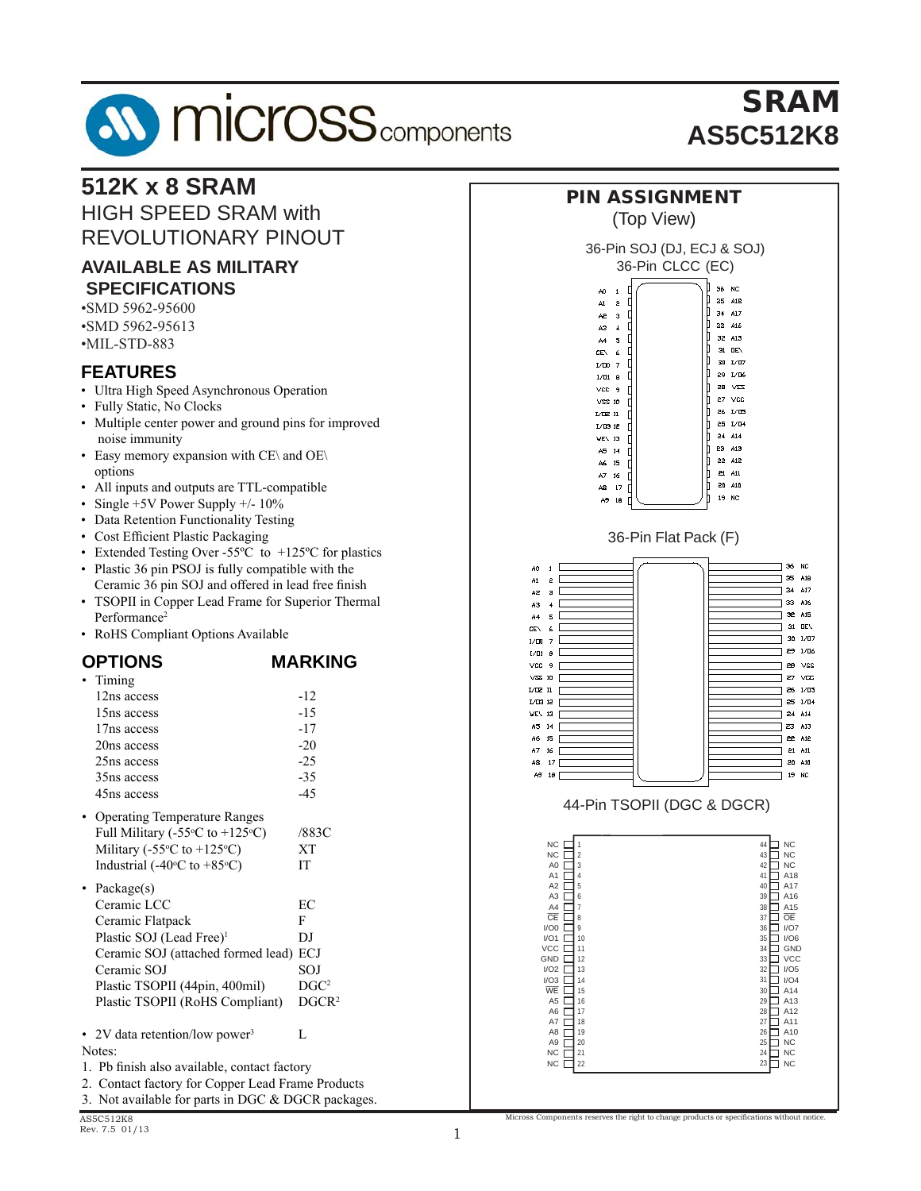# **AV MICrOSS** components Austin Semiconductor, Inc.

**512K x 8 SRAM 512K x 8 SRAM**

**512K x 8 SRAM**

HIGH SPEED SRAM with

#### SRAM SRAM **AS5C512K8 AS5C512K8 SKAM**<br>Eterne **AS5C512K8**

#### REVOLUTIONARY PINOUT **AVAILABLE AS MILITARY SPECIFICATIONS AVAILABLE AS MILITARY PECIFICATIONS •SMD 5962-95600**<br> **SPECIFICATIONS** •SMD 5962-95613  $\cdot$ MIL-STD-883 **FEATURES FEATURES** • Ultra High Speed Asynchronous Operation • Fully Static, No Clocks • Multiple center power and ground pins for improved viditiple center power and noise immunity • Easy memory expansion with  $CE\setminus$  and  $OE\setminus$ Lusy memory expl options **but can** • All inputs and outputs are TTL-compatible •  $\frac{1}{2}$  Single +5V Power Supply +/- 10% • Data Retention Functionality Testing butti retention + unettonumy +esting • Cost Efficient Plastic Packaging • Data Retention Functionality Testing • Extended Testing Over -55°C to  $+125$ °C for plastics  $\frac{1}{26}$  Cost Eq. (1981)  $\frac{1}{26}$  Cost Eq. (1981)  $\frac{1}{26}$  Compared A0 • Plastic 36 pin PSOJ is fully compatible with the  $\sim$  $\frac{1}{2}$  $A1$ Ceramic 36 pin SOJ and offered in lead free finish  $A2$ evening 36 pin 903 and offered in read free finish<br>FCODH in Connor Lood Fromo for Cunorior Thorne • TSOPII in Copper Lead Frame for Superior Thermal  $A3$ Cr II in Copper Lead I faine for Superior Therman Performance<sup>2</sup>  $AA$ • RoHS Compliant Options Available refuturation<br>DeUS Complient Ontier **NOTED** Compliant Options<sup>2</sup> *Manufold* **COMPANY OPTIONS** *MARKING* **MARKING OPTION** • Timing  $\frac{1}{2}$ ning  $\frac{1}{2}$ **IS612**  $12ns$  access  $-12$  $15ns access$   $-15$  $17ns access$  -17  $20ns$  access  $-20$  $-25$  as  $\frac{1}{48}$   $\frac{1}{17}$  $25ns$  access  $-25$  $35ns access$   $-35$ **35 14-Pin Solution (Type II) 44-Pin Solution (Type II) 44-Pin TSOP** (Type II)  $45ns access$   $-45$ • Operating Temperature Ranges • Operating Temperature Ranges • Operating Temperature Ranges Full Military  $(-55^\circ \text{C to } +125^\circ \text{C})$  $C)$  /883C Military  $(-55\degree C \text{ to } +125\degree C)$  $\overline{C}$  XT Industrial  $(-40^{\circ}\text{C}$  to  $+85^{\circ}\text{C})$  IT  $\overline{I}$  IT • Package(s) Ceramic LCC EC EC Ceramic Flatpack F Plastic SOJ (Lead Free)<sup>1</sup> DJ DJ Ceramic SOJ (attached formed lead) ECJ ramic SOJ (attached formed lead) ECJ Ceramic SOJ (attached formed formed formed formed  $\sim$  SOJ SOJ  $SO<sub>1</sub>$  $\cdot$ Plastic TSOPII (44pin, 400mil) DGC<sup>2</sup>  $\overline{ }$ Plastic TSOPII (RoHS Compliant) DGCR<sup>2</sup> DGC • 2V data retention/low power<sup>3</sup>  $\qquad \qquad$  L L A6 Notes: notes:<br>1. Pb finish also available, contact factory<br>Bord information and information and information 2. Contact factory for Copper Lead Frame Products The ASSC512K8D is followed with 36 pin CSO is for a state with 36 pin CSO is for a state with 36 pin CSO is a state with 36 pin CSO is a state with 36 pin CSO is a state with 36 pin CSO is a state with 36 pin CSO is a stat 2. Conduct factory for Copper Edat Frame Froducts<br>3. Not available for parts in DGC & DGCR packages. package of the SMD 5692-95600.

*www.austinsemiconductor.com*



Micross Components reserves the right to change products or specifications without notice.

Austin Semiconductor, Inc. reserves the right to change products or specifications without notice.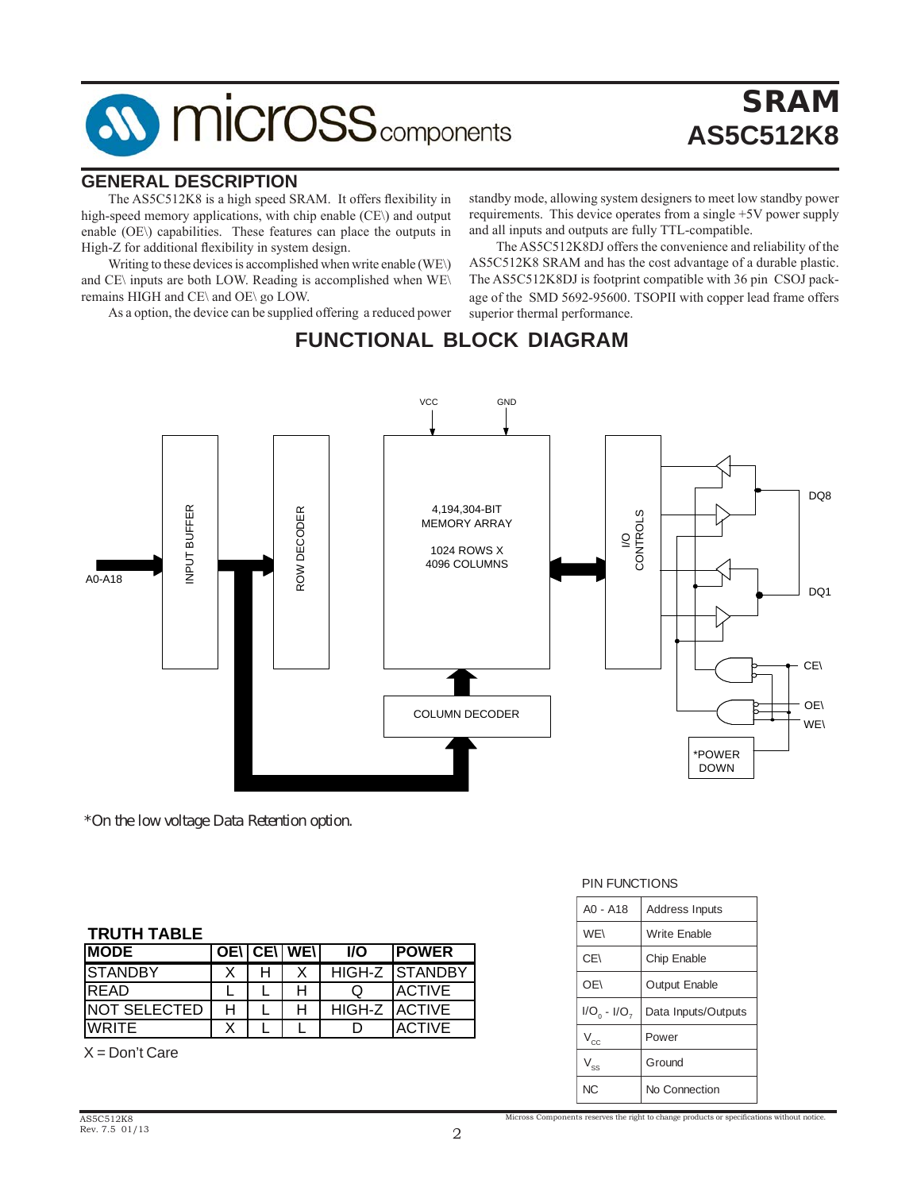# **AV MICrOSS** components

# **SRAM AS5C512K8**

#### **GENERAL DESCRIPTION**

 The AS5C512K8 is a high speed SRAM. It offers flexibility in high-speed memory applications, with chip enable (CE\) and output enable (OE\) capabilities. These features can place the outputs in High-Z for additional flexibility in system design.

Writing to these devices is accomplished when write enable (WE\) and CE\ inputs are both LOW. Reading is accomplished when WE\ remains HIGH and CE\ and OE\ go LOW.

 As a option, the device can be supplied offering a reduced power

standby mode, allowing system designers to meet low standby power requirements. This device operates from a single +5V power supply and all inputs and outputs are fully TTL-compatible.

and all inputs and outputs are fully 11L-compatible.<br>The ASSC512K8DJ offers the convenience and reliability of the **AS5C512K8** The AS5C512K8DJ is footprint compatible with 36 pin CSOJ pack-Australing is accomplished when WEAU THE ABSESTEROBS IS toop the Companion with 50 pm CBOS pack<br>go LOW. age of the SMD 5692-95600. TSOPII with copper lead frame offers AS5C512K8 SRAM and has the cost advantage of a durable plastic. superior thermal performance.

### **FUNCTIONAL BLOCK DIAGRAM**



*\*On the low voltage Data Retention option.*

#### **TRUTH TABLE**

| <b>IMODE</b>         |   | <b>OENICENIWEN</b> | <b>I/O</b> | <b>IPOWER</b>         |  |
|----------------------|---|--------------------|------------|-----------------------|--|
| <b>ISTANDBY</b>      |   |                    |            | <b>HIGH-Z STANDBY</b> |  |
| <b>IREAD</b>         |   |                    |            | <b>ACTIVE</b>         |  |
| <b>INOT SELECTED</b> | н |                    | HIGH-Z     | <b>ACTIVE</b>         |  |
| <b>WRITE</b>         |   |                    |            | <b>ACTIVE</b>         |  |

 $X = Don't Care$ 

#### **PIN FUNCTIONS**

| $AO - A18$                 | <b>Address Inputs</b> |
|----------------------------|-----------------------|
| WE\                        | <b>Write Enable</b>   |
| CE\                        | <b>Chip Enable</b>    |
| OE\                        | <b>Output Enable</b>  |
| $I/O_0 - I/O_7$            | Data Inputs/Outputs   |
| $\mathsf{V}_{\mathsf{cc}}$ | Power                 |
| $\rm V_{ss}$               | Ground                |
| N <sub>C</sub>             | No Connection         |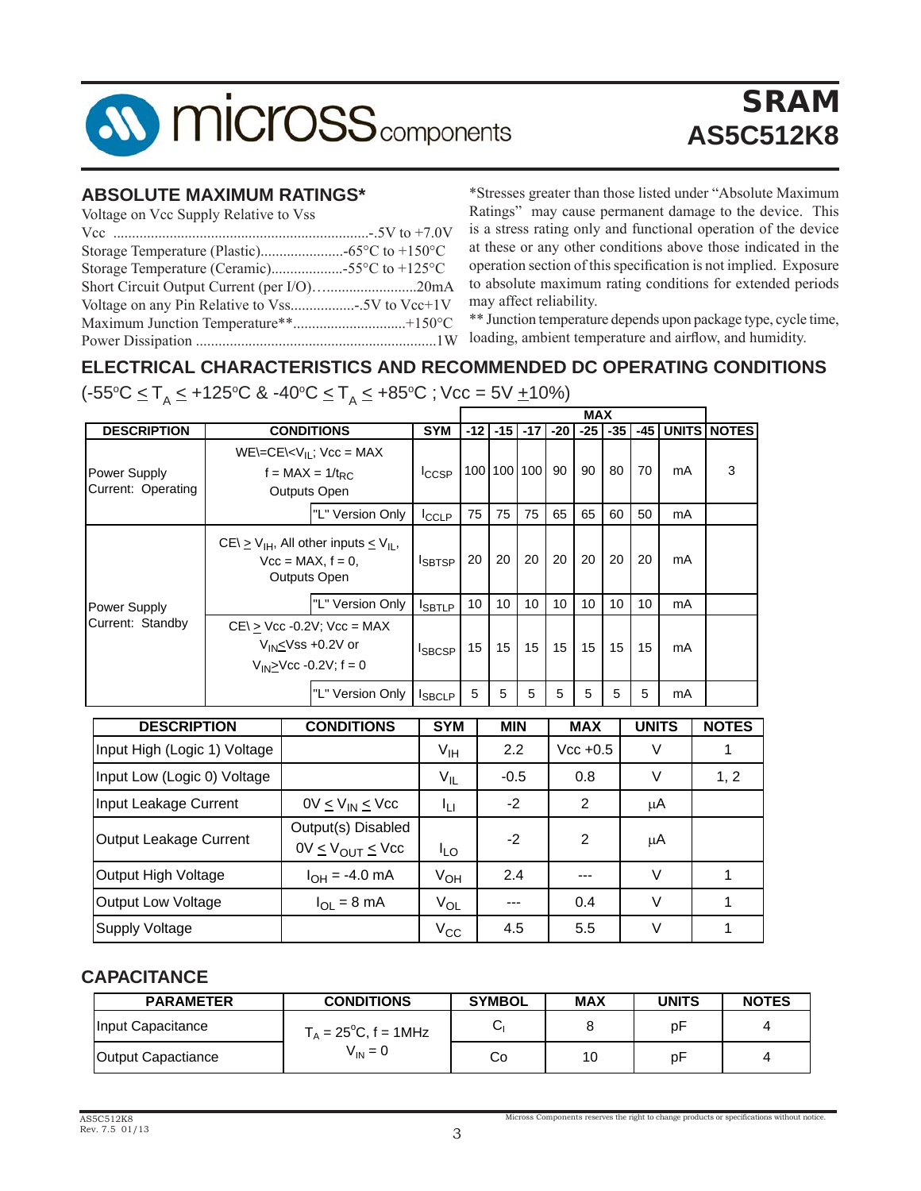

# SRAM **AS5C512K8**

#### **ABSOLUTE MAXIMUM RATINGS\***

| Voltage on Vcc Supply Relative to Vss       |  |
|---------------------------------------------|--|
|                                             |  |
|                                             |  |
| Storage Temperature (Ceramic)55°C to +125°C |  |
| Short Circuit Output Current (per I/O)20mA  |  |
|                                             |  |
|                                             |  |
|                                             |  |

\*Stresses greater than those listed under "Absolute Maximum Ratings" may cause permanent damage to the device. This is a stress rating only and functional operation of the device at these or any other conditions above those indicated in the operation section of thisspecification is not implied. Exposure to absolute maximum rating conditions for extended periods may affect reliability.

\*\* Junction temperature depends upon package type, cycle time, loading, ambient temperature and airflow, and humidity.

### **ELECTRICAL CHARACTERISTICS AND RECOMMENDED DC OPERATING CONDITIONS**

(-55°C <u><</u> T<sub>A</sub> ≤ +125°C & -40°C <u><</u> T<sub>A</sub> ≤ +85°C ; Vcc = 5V <u>+</u>10%)

|                                    |  |                                                                                            |                 |                                                                                                                                                                                                                                                                                                                                        |    |       |       | <b>MAX</b> |       |       |                                  |                    |
|------------------------------------|--|--------------------------------------------------------------------------------------------|-----------------|----------------------------------------------------------------------------------------------------------------------------------------------------------------------------------------------------------------------------------------------------------------------------------------------------------------------------------------|----|-------|-------|------------|-------|-------|----------------------------------|--------------------|
| <b>DESCRIPTION</b>                 |  | <b>CONDITIONS</b>                                                                          | <b>SYM</b>      |                                                                                                                                                                                                                                                                                                                                        |    | $-17$ | $-20$ | $-25$      | $-35$ | $-45$ |                                  | <b>UNITS NOTES</b> |
| Power Supply<br>Current: Operating |  | $WE = CE \lt V_{IL}$ ; $Vec = MAX$<br>f = MAX = $1/t_{RC}$<br>Outputs Open                 | $I_{CCSP}$      |                                                                                                                                                                                                                                                                                                                                        |    |       | 90    | 90         | 80    | 70    | mA<br>mA<br>mA<br>mA<br>mA<br>mA | 3                  |
|                                    |  | "L" Version Only                                                                           | <b>I</b> CCLP   | 75                                                                                                                                                                                                                                                                                                                                     | 75 | 75    | 65    | 65         | 60    | 50    |                                  |                    |
|                                    |  | $CE \ge V_{IH}$ , All other inputs $\le V_{IL}$ ,<br>$Vcc = MAX, f = 0$ ,<br>Outputs Open  | <b>I</b> SBTSP  | $-12$<br>$-15$<br>100 100 100<br>20<br>20<br>20<br>20<br>20<br>20<br>20<br>10<br>10<br>10<br>10<br>10<br>10<br>10<br>15<br>15<br>15<br>15<br>15<br>15<br>15<br>5<br>5<br>5<br>5<br>5<br>5<br>5<br><b>UNITS</b><br><b>MAX</b><br><b>MIN</b><br>2.2<br>V<br>$Vec + 0.5$<br>$\vee$<br>$-0.5$<br>0.8<br>$-2$<br>2<br>μA<br>$-2$<br>2<br>μA |    |       |       |            |       |       |                                  |                    |
| Power Supply                       |  | "L" Version Only                                                                           | <b>I</b> SBTLP  |                                                                                                                                                                                                                                                                                                                                        |    |       |       |            |       |       |                                  |                    |
| Current: Standby                   |  | $CE \ge$ Vcc -0.2V; Vcc = MAX<br>$V_{IN}$ Vss +0.2V or<br>$V_{IN} \geq Vcc - 0.2V$ ; f = 0 | <b>ISBCSP</b>   |                                                                                                                                                                                                                                                                                                                                        |    |       |       |            |       |       |                                  |                    |
|                                    |  | "L" Version Only                                                                           | <b>ISBCLP</b>   |                                                                                                                                                                                                                                                                                                                                        |    |       |       |            |       |       |                                  |                    |
| <b>DESCRIPTION</b>                 |  | <b>CONDITIONS</b>                                                                          | <b>SYM</b>      |                                                                                                                                                                                                                                                                                                                                        |    |       |       |            |       |       |                                  | <b>NOTES</b>       |
| Input High (Logic 1) Voltage       |  |                                                                                            | $V_{\text{IH}}$ |                                                                                                                                                                                                                                                                                                                                        |    |       |       |            |       |       |                                  | 1                  |
| Input Low (Logic 0) Voltage        |  |                                                                                            | $V_{IL}$        |                                                                                                                                                                                                                                                                                                                                        |    |       |       |            |       |       |                                  | 1, 2               |
| Input Leakage Current              |  | $0V \leq V_{IN} \leq V_{CC}$                                                               | Īц              |                                                                                                                                                                                                                                                                                                                                        |    |       |       |            |       |       |                                  |                    |
| Output Leakage Current             |  | Output(s) Disabled<br>$0V \leq V_{OUT} \leq V_{CC}$                                        | $I_{LO}$        |                                                                                                                                                                                                                                                                                                                                        |    |       |       |            |       |       |                                  |                    |

|                     | $V = V \cup U$ $V = V \cup V$ | ט∟י          |         |         |  |
|---------------------|-------------------------------|--------------|---------|---------|--|
| Output High Voltage | l <sub>OH</sub> = -4.0 mA     | Ѵон          | 2.4     | $- - -$ |  |
| Output Low Voltage  | $I_{OL}$ = 8 mA               | $V_{OL}$     | $- - -$ | 0.4     |  |
| Supply Voltage      |                               | $V_{\rm CC}$ | 4.5     | 5.5     |  |

### **CAPACITANCE**

| <b>PARAMETER</b>   | <b>CONDITIONS</b>              | <b>SYMBOL</b> | <b>MAX</b> | <b>UNITS</b> | <b>NOTES</b> |
|--------------------|--------------------------------|---------------|------------|--------------|--------------|
| Input Capacitance  | $T_A = 25^{\circ}$ C, f = 1MHz | ◡             |            | рF           | 4            |
| Output Capactiance | $V_{IN} = 0$                   | Co            | 10         | рF           | 4            |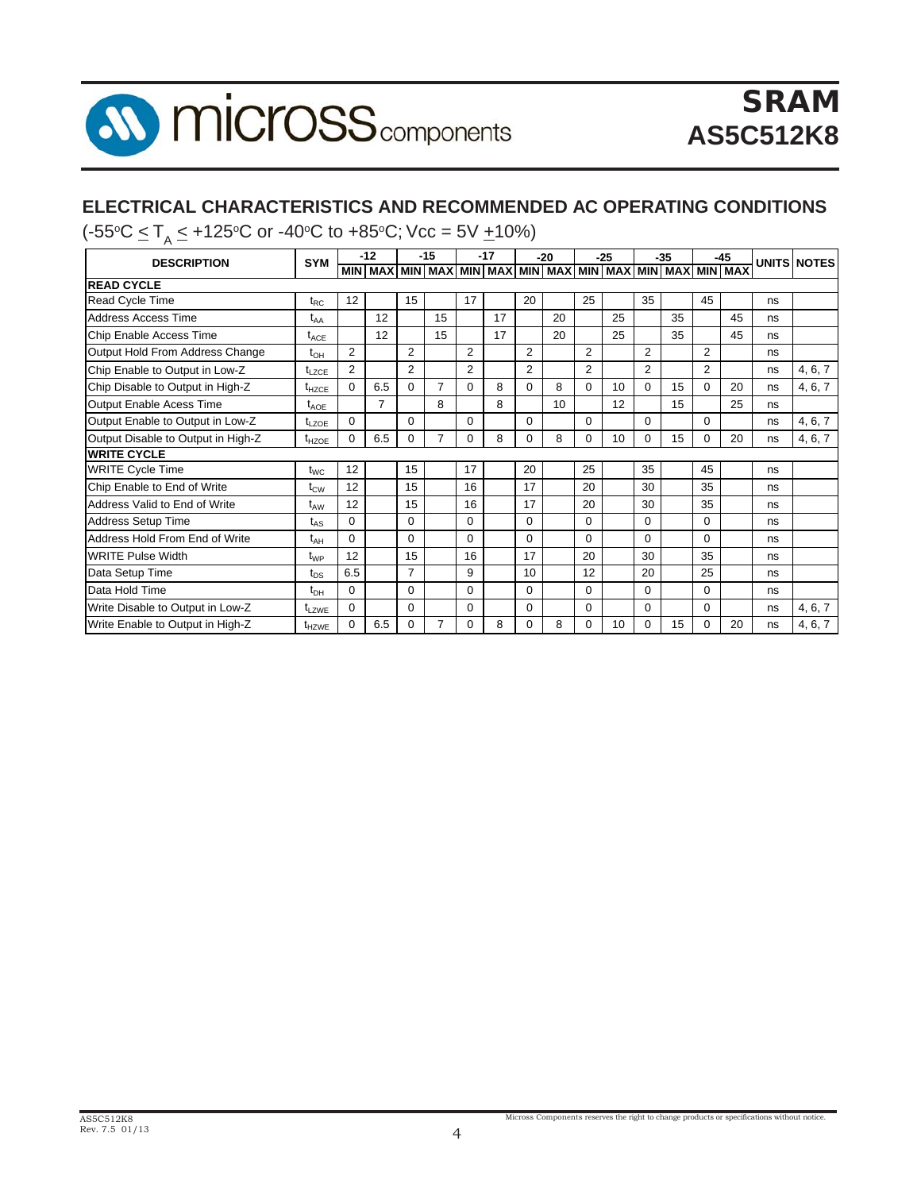

### **ELECTRICAL CHARACTERISTICS AND RECOMMENDED AC OPERATING CONDITIONS**

(-55°C ≤ T<sub>A</sub> ≤ +125°C or -40°C to +85°C; Vcc = 5V <u>+</u>10%)

| <b>DESCRIPTION</b>                 | $-12$<br><b>SYM</b> |                |     |                | $-15$          |                | $-17$                                                                                        |                | $-20$ |          | $-25$ |                | $-35$ |                | $-45$ |    | <b>UNITS NOTES</b> |
|------------------------------------|---------------------|----------------|-----|----------------|----------------|----------------|----------------------------------------------------------------------------------------------|----------------|-------|----------|-------|----------------|-------|----------------|-------|----|--------------------|
|                                    |                     |                |     |                |                |                | <u>MIN XAM   MIN XAM   MIN XAM   MIN XAM   MIN XAM   MIN XAM   MIN XAM   MIN XAM   MIN X</u> |                |       |          |       |                |       |                |       |    |                    |
| <b>READ CYCLE</b>                  |                     |                |     |                |                |                |                                                                                              |                |       |          |       |                |       |                |       |    |                    |
| <b>Read Cycle Time</b>             | $t_{RC}$            | 12             |     | 15             |                | 17             |                                                                                              | 20             |       | 25       |       | 35             |       | 45             |       | ns |                    |
| Address Access Time                | $t_{AA}$            |                | 12  |                | 15             |                | 17                                                                                           |                | 20    |          | 25    |                | 35    |                | 45    | ns |                    |
| Chip Enable Access Time            | $t_{ACE}$           |                | 12  |                | 15             |                | 17                                                                                           |                | 20    |          | 25    |                | 35    |                | 45    | ns |                    |
| Output Hold From Address Change    | $t_{OH}$            | $\overline{2}$ |     | $\overline{2}$ |                | $\overline{2}$ |                                                                                              | $\overline{2}$ |       | 2        |       | $\overline{2}$ |       | $\overline{2}$ |       | ns |                    |
| Chip Enable to Output in Low-Z     | $t_{LZCE}$          | $\overline{2}$ |     | $\overline{2}$ |                | $\overline{2}$ |                                                                                              | $\overline{2}$ |       | 2        |       | $\overline{2}$ |       | $\overline{2}$ |       | ns | 4, 6, 7            |
| Chip Disable to Output in High-Z   | $t_{HZCE}$          | $\Omega$       | 6.5 | $\Omega$       | $\overline{7}$ | $\Omega$       | 8                                                                                            | 0              | 8     | $\Omega$ | 10    | 0              | 15    | $\Omega$       | 20    | ns | 4, 6, 7            |
| <b>Output Enable Acess Time</b>    | $t_{AOE}$           |                | 7   |                | 8              |                | 8                                                                                            |                | 10    |          | 12    |                | 15    |                | 25    | ns |                    |
| Output Enable to Output in Low-Z   | $t_{LZOF}$          | $\Omega$       |     | $\Omega$       |                | $\Omega$       |                                                                                              | $\Omega$       |       | $\Omega$ |       | $\Omega$       |       | $\Omega$       |       | ns | 4, 6, 7            |
| Output Disable to Output in High-Z | $t_{HZOE}$          | $\Omega$       | 6.5 | $\Omega$       | $\overline{7}$ | 0              | 8                                                                                            | $\Omega$       | 8     | $\Omega$ | 10    | $\Omega$       | 15    | $\Omega$       | 20    | ns | 4, 6, 7            |
| <b>WRITE CYCLE</b>                 |                     |                |     |                |                |                |                                                                                              |                |       |          |       |                |       |                |       |    |                    |
| <b>WRITE Cycle Time</b>            | $t_{WC}$            | 12             |     | 15             |                | 17             |                                                                                              | 20             |       | 25       |       | 35             |       | 45             |       | ns |                    |
| Chip Enable to End of Write        | $t_{\text{CW}}$     | 12             |     | 15             |                | 16             |                                                                                              | 17             |       | 20       |       | 30             |       | 35             |       | ns |                    |
| Address Valid to End of Write      | t <sub>aw</sub>     | 12             |     | 15             |                | 16             |                                                                                              | 17             |       | 20       |       | 30             |       | 35             |       | ns |                    |
| <b>Address Setup Time</b>          | $t_{AS}$            | 0              |     | $\Omega$       |                | 0              |                                                                                              | 0              |       | $\Omega$ |       | 0              |       | $\Omega$       |       | ns |                    |
| Address Hold From End of Write     | $t_{AH}$            | $\Omega$       |     | $\Omega$       |                | 0              |                                                                                              | 0              |       | $\Omega$ |       | $\Omega$       |       | $\Omega$       |       | ns |                    |
| <b>WRITE Pulse Width</b>           | t <sub>wp</sub>     | 12             |     | 15             |                | 16             |                                                                                              | 17             |       | 20       |       | 30             |       | 35             |       | ns |                    |
| Data Setup Time                    | $t_{DS}$            | 6.5            |     | 7              |                | 9              |                                                                                              | 10             |       | 12       |       | 20             |       | 25             |       | ns |                    |
| Data Hold Time                     | $t_{\text{DH}}$     | $\Omega$       |     | $\Omega$       |                | $\Omega$       |                                                                                              | 0              |       | $\Omega$ |       | 0              |       | $\Omega$       |       | ns |                    |
| Write Disable to Output in Low-Z   | t <sub>LZWE</sub>   | 0              |     | 0              |                | 0              |                                                                                              | 0              |       | $\Omega$ |       | 0              |       | 0              |       | ns | 4, 6, 7            |
| Write Enable to Output in High-Z   | t <sub>HZWE</sub>   | $\Omega$       | 6.5 | $\Omega$       |                | 0              | 8                                                                                            | 0              | 8     | 0        | 10    | 0              | 15    | $\mathbf 0$    | 20    | ns | 4, 6, 7            |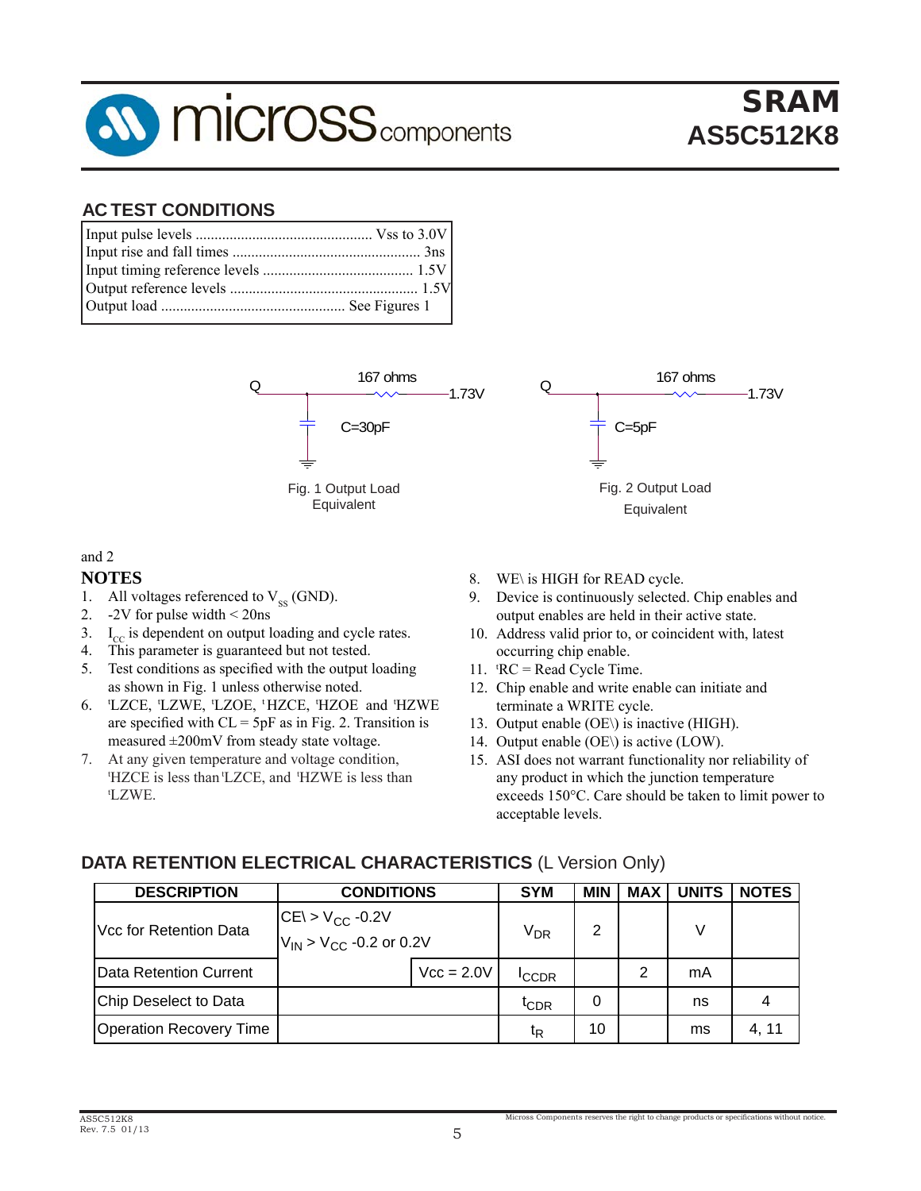

# SRAM SRAM **AS5C512K8 AS5C512K8**

#### **AC TEST CONDITIONS AC TEST CONDITIONS**



#### and 2

#### **NOTES**

- 1. All voltages referenced to  $V_{SS}$  (GND).  $\mathbf{S}$ oltages referenced to  $\rm V_{ss}$  (GNI
- 2.  $-2V$  for pulse width  $\leq$  20ns
- 3.  $I_{\text{cc}}$  is dependent on output loading and cycle rates.
- 4. This parameter is guaranteed but not tested.
- 5. Test conditions as specified with the output loading as shown in Fig. 1 unless otherwise noted. 1
- 6. LZCE, LZWE, LZOE, 'HZCE, 'HZOE and 'HZWE are specified with  $CL = 5pF$  as in Fig. 2. Transition is measured  $\pm 200$ mV from steady state voltage.
- 7. At any given temperature and voltage condition, 'HZCE is less than 'LZCE, and 'HZWE is less than tLZWE.  $W\ E.$
- 8. WE\ is HIGH for READ cycle.
- 9. Device is continuously selected. Chip enables and output enables are held in their active state.
- 10. Address valid prior to, or coincident with, latest occurring chip enable.
- 11.  ${}^tRC = Read Cycle Time$ .
- 12. Chip enable and write enable can initiate and terminate a WRITE cycle.
- 13. Output enable  $(OE)$  is inactive (HIGH).
- 14. Output enable  $(OE)$  is active  $(LOW)$ .
- 15. ASI does not warrant functionality nor reliability of any product in which the junction temperature exceeds  $150^{\circ}$ C. Care should be taken to limit power to acceptable levels.

### **DATA RETENTION ELECTRICAL CHARACTERISTICS** (L Version Only) **DATA RETENTION ELECTRICAL CHARACTERISTICS** (L Version Only)

| <b>DESCRIPTION</b>      | <b>CONDITIONS</b>                                                       |              | <b>SYM</b>        | <b>MIN</b> | <b>MAX</b> | <b>UNITS</b> | <b>NOTES</b> |
|-------------------------|-------------------------------------------------------------------------|--------------|-------------------|------------|------------|--------------|--------------|
| Vcc for Retention Data  | $ CE  > V_{CC}$ -0.2V<br>$V_{\text{IN}}$ > V <sub>CC</sub> -0.2 or 0.2V |              | V <sub>DR</sub>   | 2          |            | V            |              |
| Data Retention Current  |                                                                         | $Vcc = 2.0V$ | <sup>I</sup> CCDR |            | າ          | mA           |              |
| Chip Deselect to Data   |                                                                         |              | $t_{CDR}$         | 0          |            | ns           | 4            |
| Operation Recovery Time |                                                                         |              | ιR                | 10         |            | ms           | 4, 11        |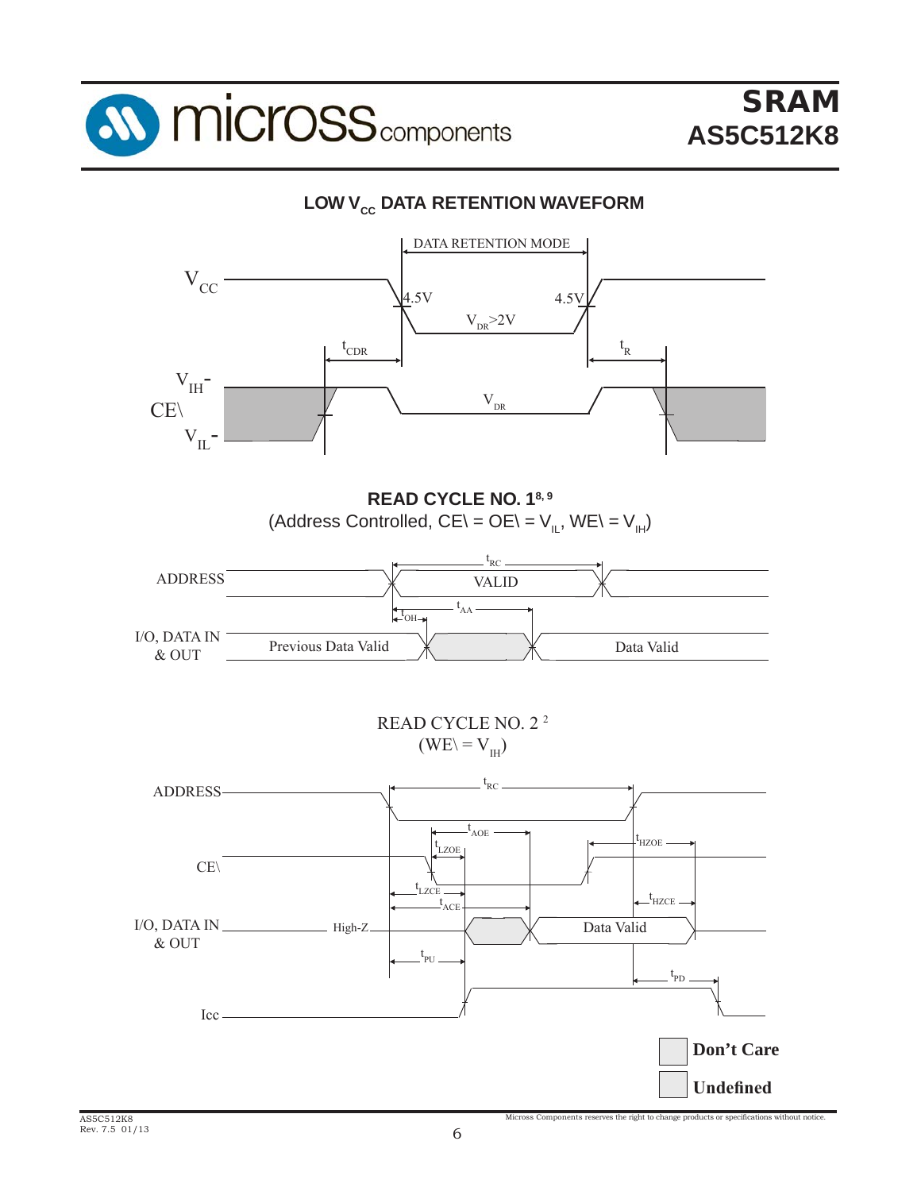

### **LOW V<sub>cc</sub> DATA RETENTION WAVEFORM**

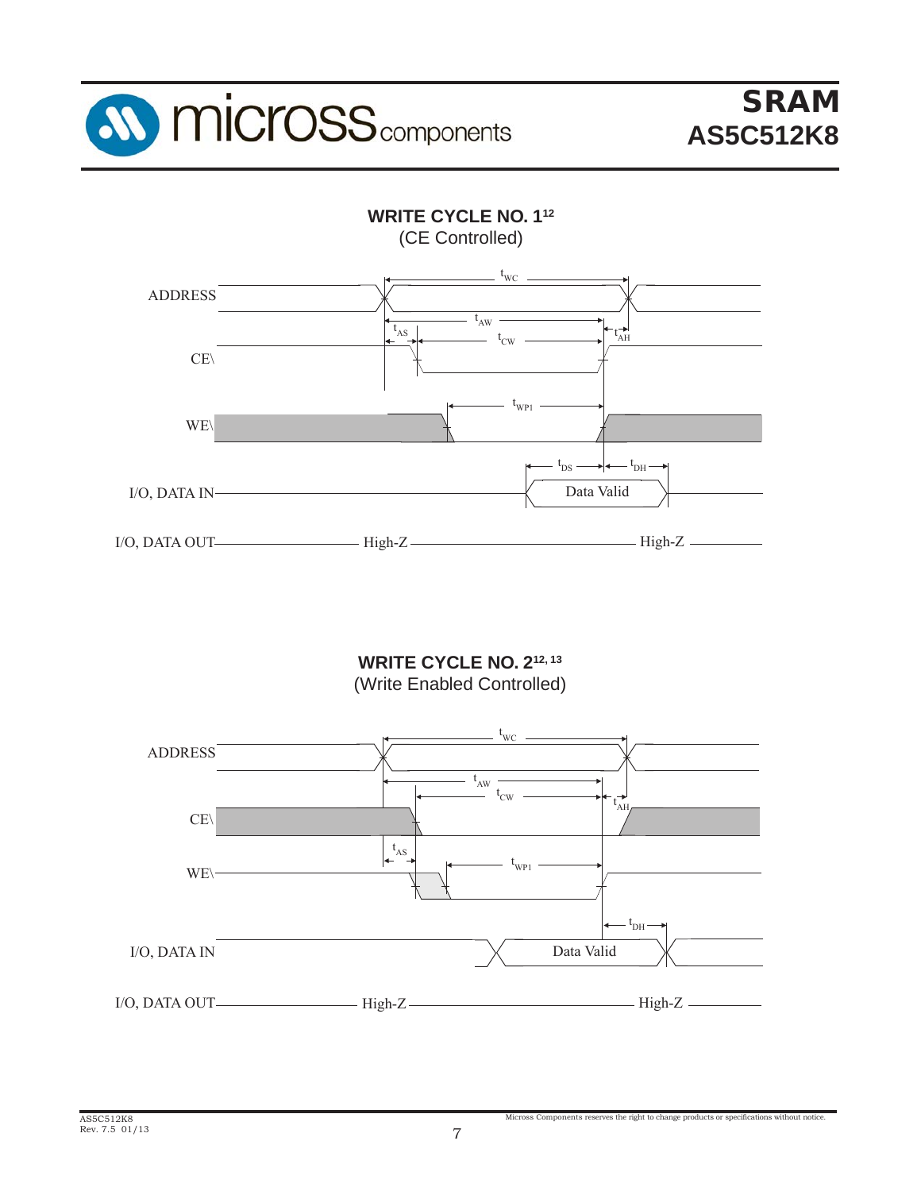



WRITE CYCLE NO. 2<sup>12, 13</sup> (Write Enabled Controlled)

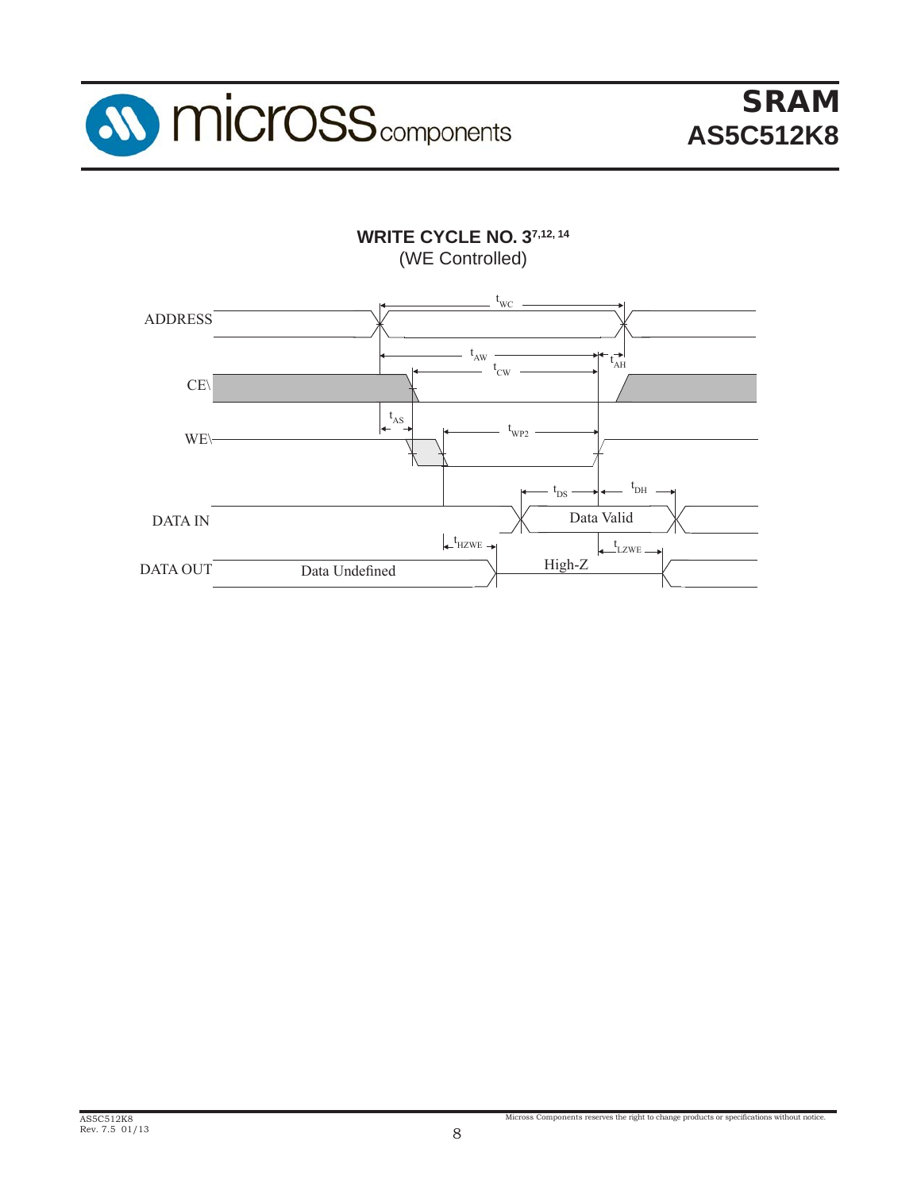

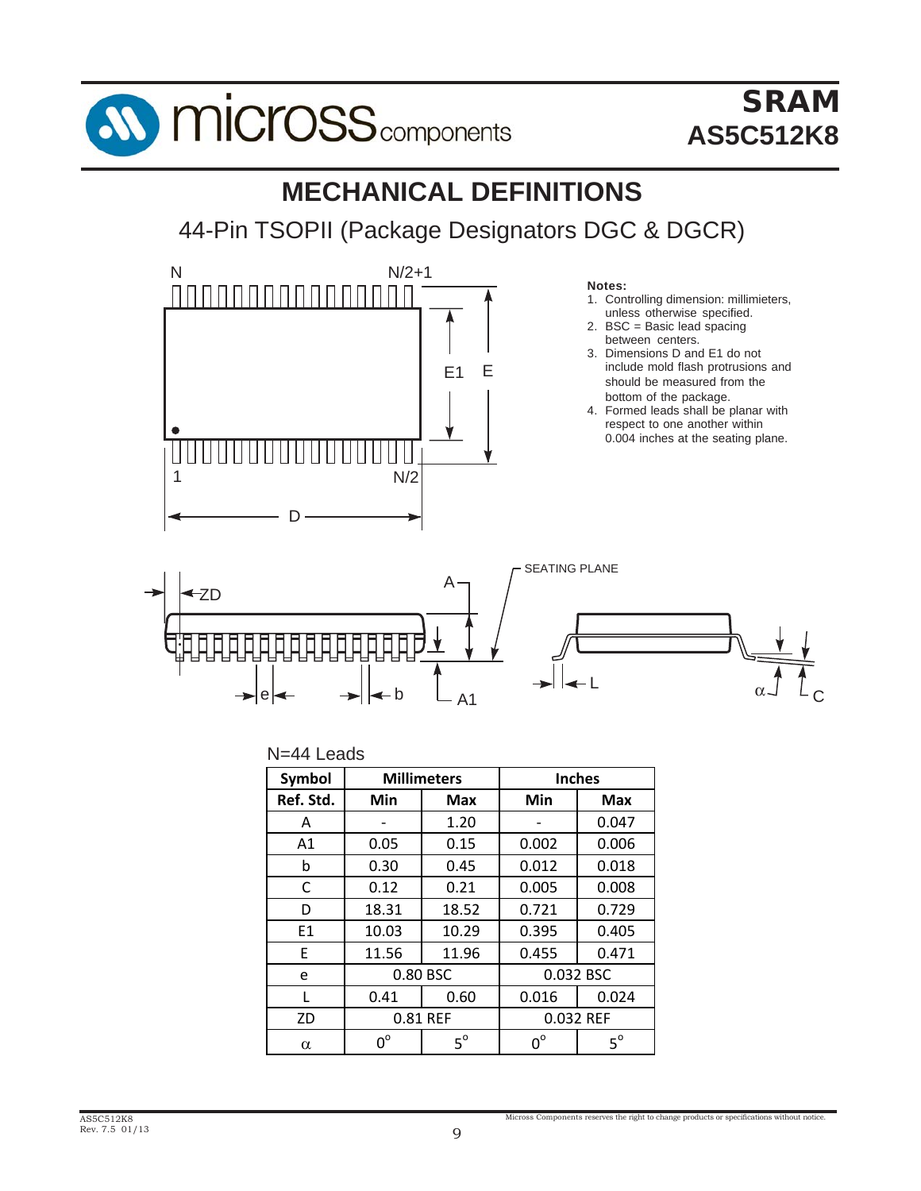

# SRAM **AS5C512K8**

# **MECHANICAL DEFINITIONS**

44-Pin TSOPII (Package Designators DGC & DGCR)



#### **Notes:**

- 1. Controlling dimension: millimieters, unless otherwise specified.
- 2. BSC = Basic lead spacing between centers.
- 3. Dimensions D and E1 do not include mold flash protrusions and should be measured from the bottom of the package.
- 4. Formed leads shall be planar with respect to one another within 0.004 inches at the seating plane.



#### N=44 Leads

| Symbol         |             | <b>Millimeters</b> |             | <b>Inches</b> |  |
|----------------|-------------|--------------------|-------------|---------------|--|
| Ref. Std.      | Min         | <b>Max</b>         | Min         | <b>Max</b>    |  |
| A              |             | 1.20               |             | 0.047         |  |
| A1             | 0.05        | 0.15               | 0.002       | 0.006         |  |
| b              | 0.30        | 0.45               | 0.012       | 0.018         |  |
| C              | 0.12        | 0.21               | 0.005       | 0.008         |  |
| D              | 18.31       | 18.52              | 0.721       | 0.729         |  |
| E <sub>1</sub> | 10.03       | 10.29              | 0.395       | 0.405         |  |
| E              | 11.56       | 11.96              | 0.455       | 0.471         |  |
| e              |             | 0.80 BSC           |             | 0.032 BSC     |  |
| L              | 0.41        | 0.60               | 0.016       | 0.024         |  |
| ZD             |             | 0.81 REF           |             | 0.032 REF     |  |
| $\alpha$       | $0^{\circ}$ | $5^\circ$          | $0^{\circ}$ | $5^\circ$     |  |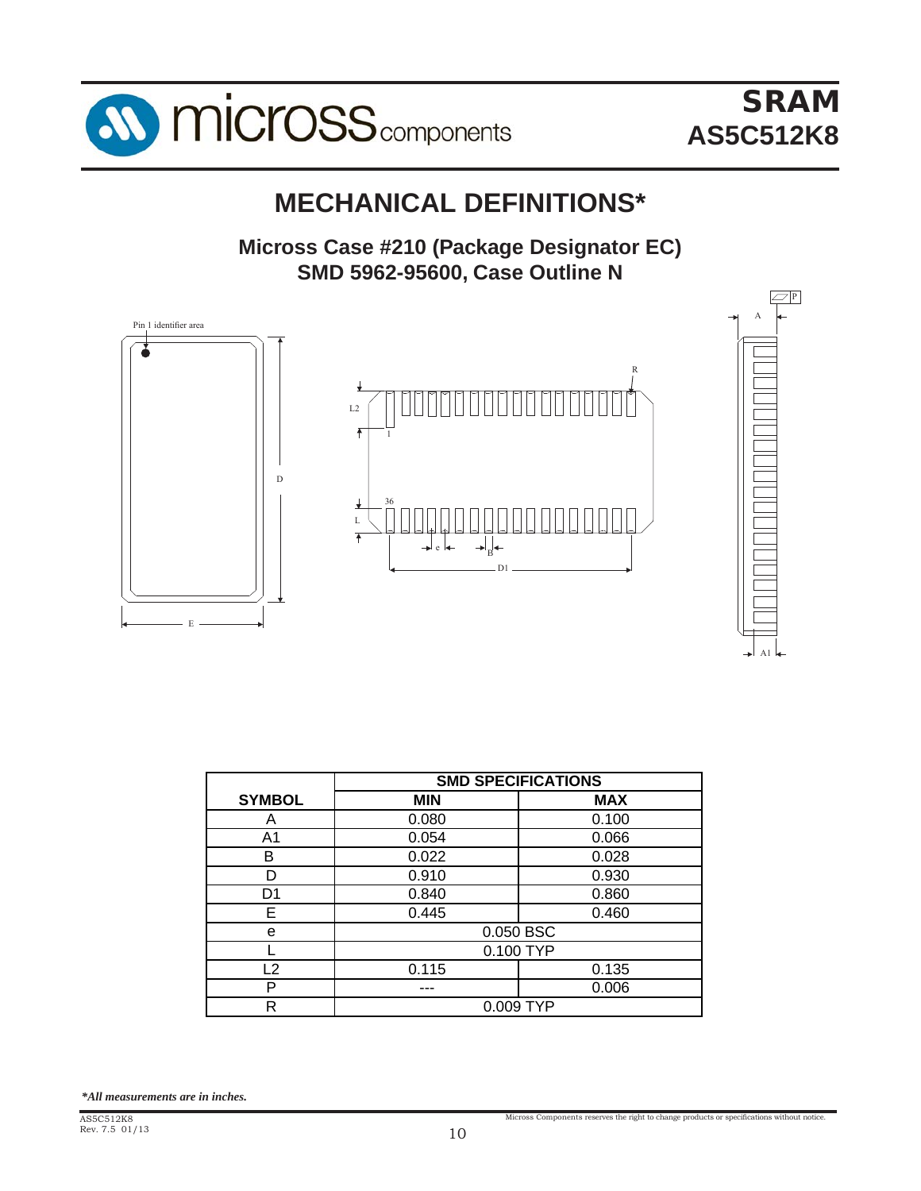

# **MECHANICAL DEFINITIONS\***

Micross Case #210 (Package Designator EC) **SMD 5962-95600, Case Outline N**



|                | <b>SMD SPECIFICATIONS</b> |            |  |  |  |  |  |  |
|----------------|---------------------------|------------|--|--|--|--|--|--|
| <b>SYMBOL</b>  | <b>MIN</b>                | <b>MAX</b> |  |  |  |  |  |  |
| Α              | 0.080                     | 0.100      |  |  |  |  |  |  |
| A1             | 0.054                     | 0.066      |  |  |  |  |  |  |
| В              | 0.022                     | 0.028      |  |  |  |  |  |  |
| n              | 0.910                     | 0.930      |  |  |  |  |  |  |
| D1             | 0.840                     | 0.860      |  |  |  |  |  |  |
| E              | 0.445                     | 0.460      |  |  |  |  |  |  |
| e              |                           | 0.050 BSC  |  |  |  |  |  |  |
|                | 0.100 TYP                 |            |  |  |  |  |  |  |
| $\overline{2}$ | 0.115                     | 0.135      |  |  |  |  |  |  |
| P              |                           | 0.006      |  |  |  |  |  |  |
| R              | 0.009 TYP                 |            |  |  |  |  |  |  |

*\*All measurements are in inches.*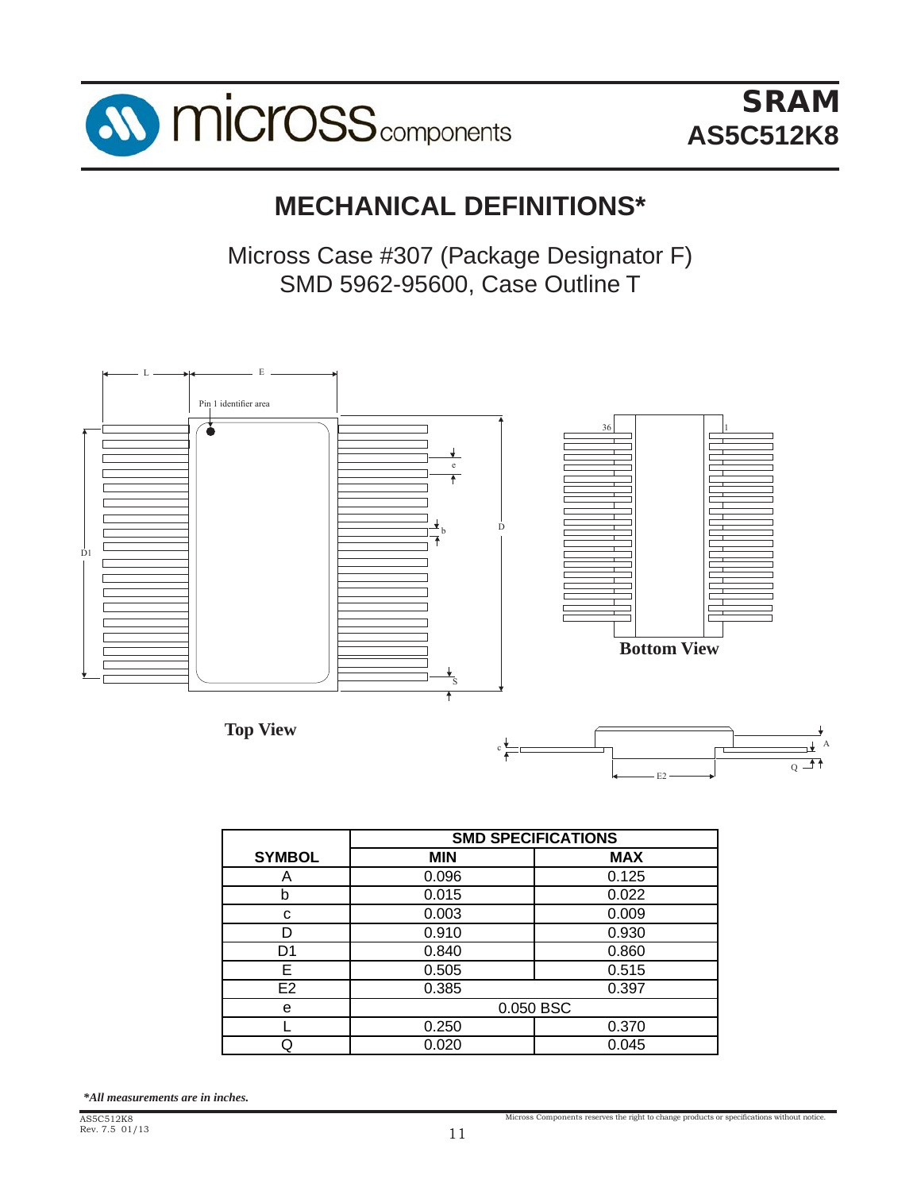

SRAM SRAM **AS5C512K8 AS5C512K8**

# **MECHANICAL DEFINITIONS\* MECHANICAL DEFINITIONS\***

Micross Case #307 (Package Designator F) SMD 5962-95600, Case Outline T SMD 5962-95600, Case Outline T



|                | <b>SMD SPECIFICATIONS</b> |            |  |
|----------------|---------------------------|------------|--|
| <b>SYMBOL</b>  | <b>MIN</b>                | <b>MAX</b> |  |
| Α              | 0.096                     | 0.125      |  |
| b              | 0.015                     | 0.022      |  |
| С              | 0.003                     | 0.009      |  |
|                | 0.910                     | 0.930      |  |
| D1             | 0.840                     | 0.860      |  |
| E              | 0.505                     | 0.515      |  |
| E <sub>2</sub> | 0.385                     | 0.397      |  |
| e              | 0.050 BSC                 |            |  |
|                | 0.250                     | 0.370      |  |
|                | 0.020                     | 0.045      |  |

*\*All measurements are in inches. \*All measurements are in inches.*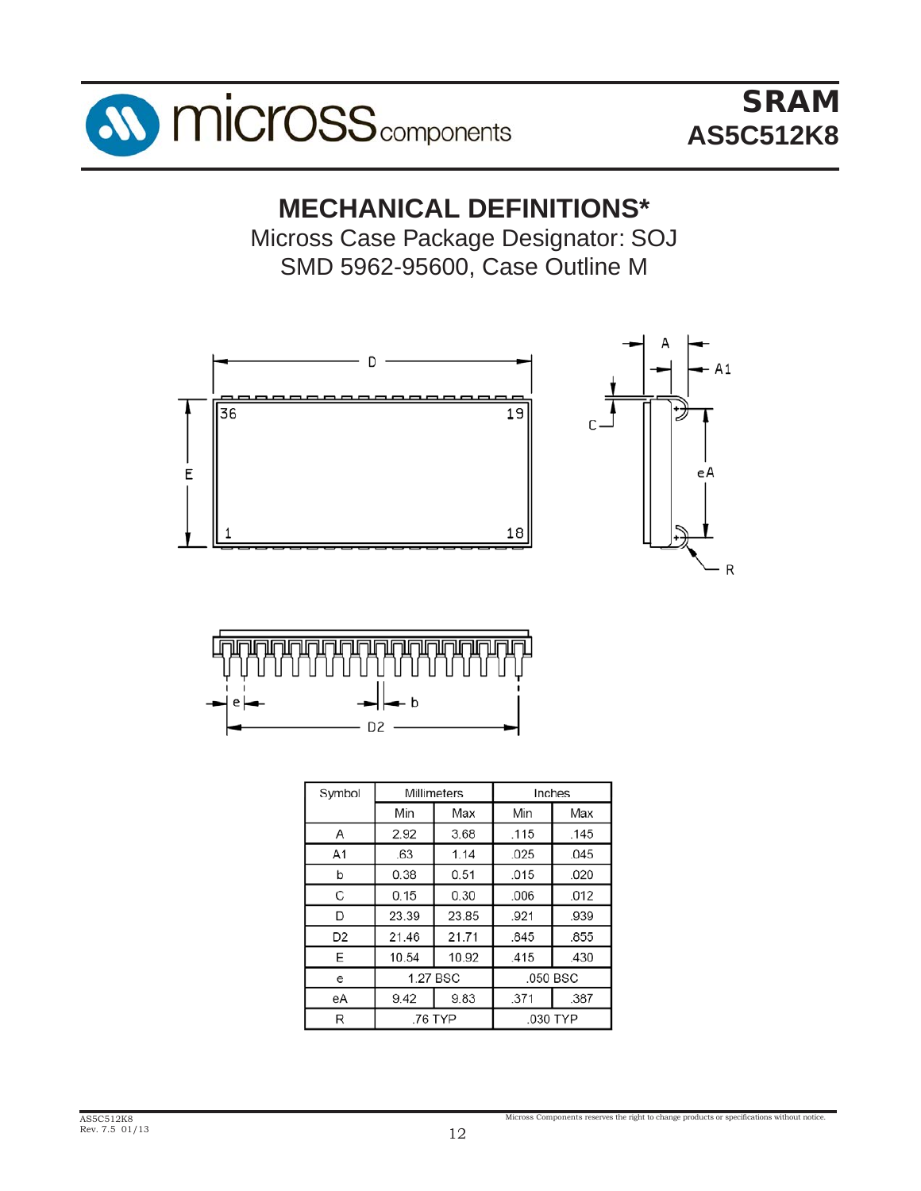

# **MECHANICAL DEFINITIONS\***

Micross Case Package Designator: SOJ SMD 5962-95600, Case Outline M





| Symbol         |         | Millimeters |          | Inches   |
|----------------|---------|-------------|----------|----------|
|                | Min     | Max         | Min      | Max      |
| Α              | 2.92    | 3.68        | .115     | .145     |
| A <sub>1</sub> | .63     | 1.14        | .025     | .045     |
| b              | 0.38    | 0.51        | .015     | .020     |
| C              | 0.15    | 0.30        | .006     | .012     |
| D              | 23.39   | 23.85       | .921     | .939     |
| D <sub>2</sub> | 21.46   | 21.71       | .845     | .855     |
| E              | 10.54   | 10.92       | .415     | .430     |
| е              |         | 1.27 BSC    |          | .050 BSC |
| eA             | 9.42    | 9.83        | .371     | .387     |
| R              | .76 TYP |             | .030 TYP |          |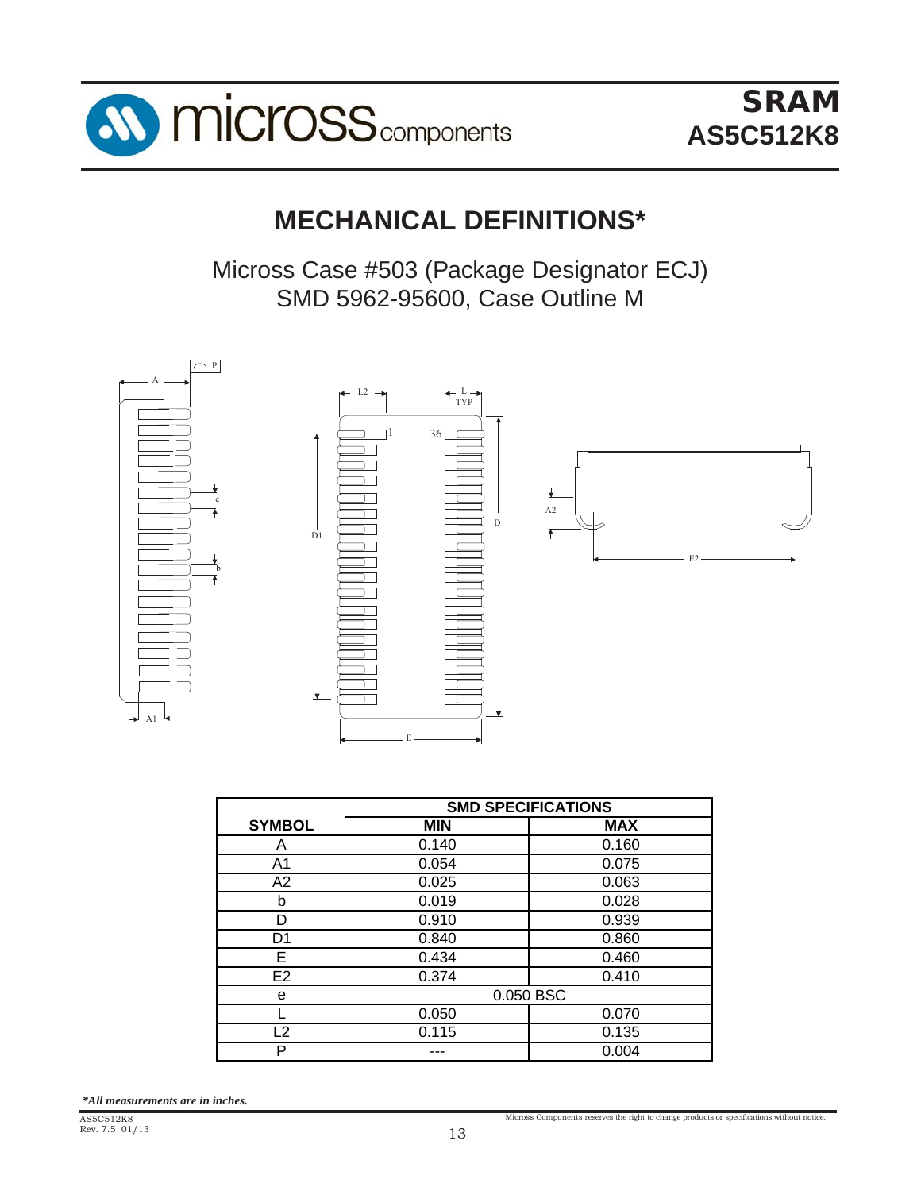

# **MECHANICAL DEFINITIONS\* MECHANICAL DEFINITIONS\***

Micross Case #503 (Package Designator ECJ) SMD 5962-95600, Case Outline M SMD 5962-95600, Case Outline M



|                         | <b>SMD SPECIFICATIONS</b> |            |  |
|-------------------------|---------------------------|------------|--|
| <b>SYMBOL</b>           | <b>MIN</b>                | <b>MAX</b> |  |
| A                       | 0.140                     | 0.160      |  |
| A1                      | 0.054                     | 0.075      |  |
| A2                      | 0.025                     | 0.063      |  |
| b                       | 0.019                     | 0.028      |  |
| D                       | 0.910                     | 0.939      |  |
| D <sub>1</sub>          | 0.840                     | 0.860      |  |
| Е                       | 0.434                     | 0.460      |  |
| E <sub>2</sub>          | 0.374                     | 0.410      |  |
| е                       |                           | 0.050 BSC  |  |
|                         | 0.050                     | 0.070      |  |
| $\overline{\mathbf{2}}$ | 0.115                     | 0.135      |  |
| P                       |                           | 0.004      |  |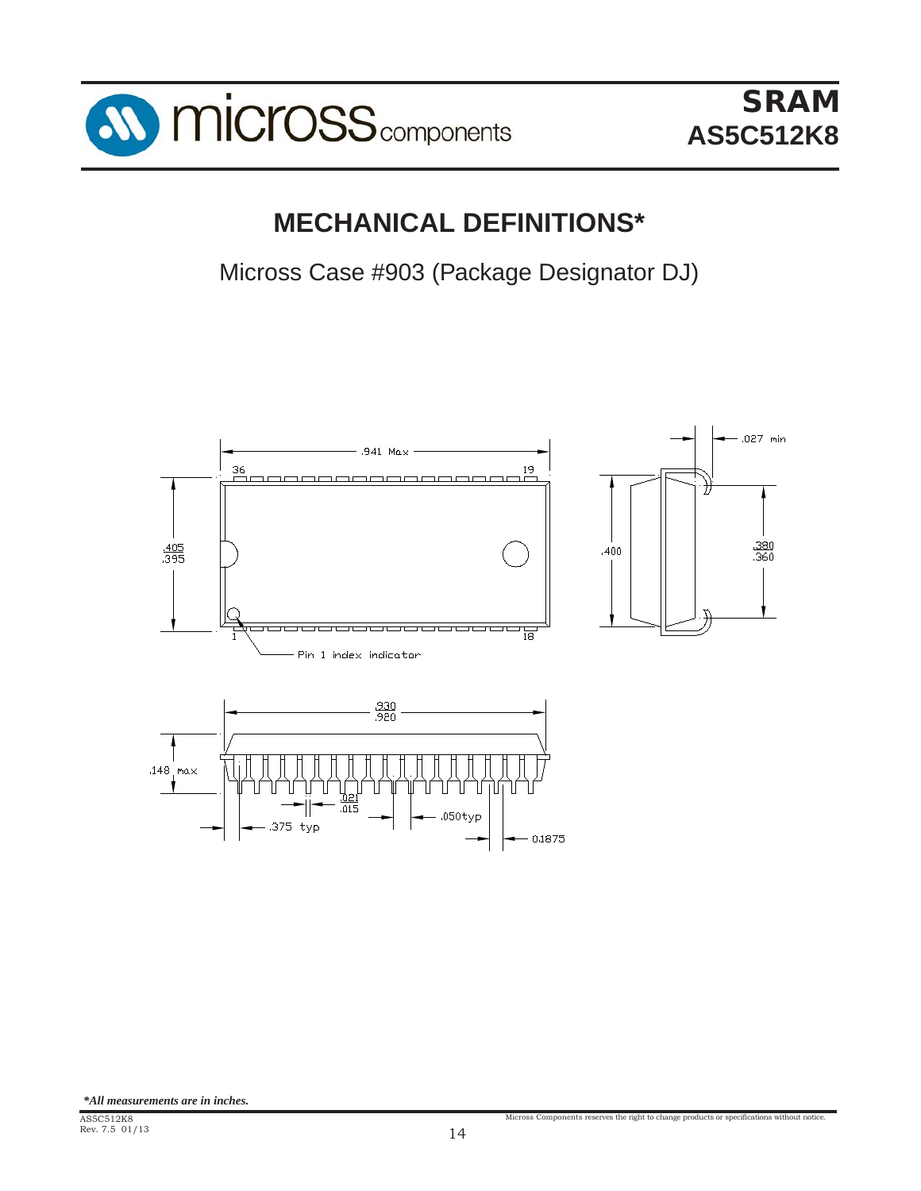

**AS5C512K8**

# **MECHANICAL DEFINITIONS\***

Micross Case #903 (Package Designator DJ)

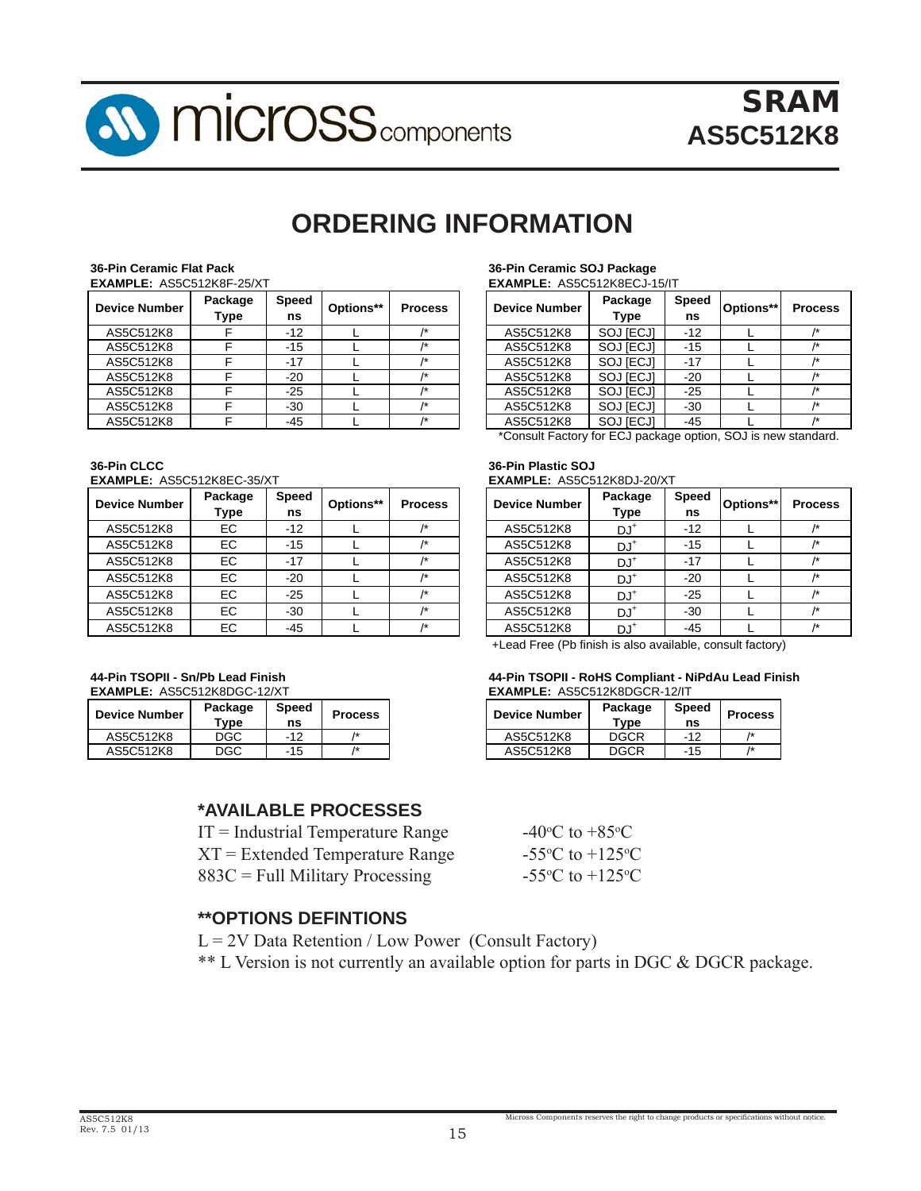

# **ORDERING INFORMATION**

| 36-Pin Ceramic Flat Pack         |  |
|----------------------------------|--|
| <b>EXAMPLE: AS5C512K8F-25/XT</b> |  |
| $B = 1.5$                        |  |

| <b>Device Number</b> | Package<br>Type | <b>Speed</b><br>ns | Options** | <b>Process</b> | <b>Device Number</b> | Package<br>Type | <b>Speed</b><br>ns | Options** | Proc |
|----------------------|-----------------|--------------------|-----------|----------------|----------------------|-----------------|--------------------|-----------|------|
| AS5C512K8            |                 | $-12$              |           |                | AS5C512K8            | SOJ [ECJ]       | $-12$              |           |      |
| AS5C512K8            |                 | $-15$              |           |                | AS5C512K8            | SOJ [ECJ]       | -15                |           |      |
| AS5C512K8            |                 | $-17$              |           |                | AS5C512K8            | SOJ [ECJ]       | $-17$              |           |      |
| AS5C512K8            |                 | $-20$              |           |                | AS5C512K8            | SOJ [ECJ]       | $-20$              |           |      |
| AS5C512K8            |                 | $-25$              |           |                | AS5C512K8            | SOJ [ECJ]       | $-25$              |           |      |
| AS5C512K8            |                 | $-30$              |           |                | AS5C512K8            | SOJ [ECJ]       | $-30$              |           |      |
| AS5C512K8            |                 | $-45$              |           |                | AS5C512K8            | SOJ [ECJ]       | $-45$              |           |      |

**36-Pin CLCC 36-Pin Plastic SOJ EXAMPLE:** AS5C512K8EC-35/XT

**Device Number Package**

| <b>Device Number</b> | Package<br>Type | <b>Speed</b><br>ns | Options** | <b>Process</b> | <b>Device Number</b> | Package<br><b>Type</b> | <b>Speed</b><br>ns | Options** | Proc |
|----------------------|-----------------|--------------------|-----------|----------------|----------------------|------------------------|--------------------|-----------|------|
| AS5C512K8            | ЕC              | $-12$              |           |                | AS5C512K8            | $DJ^*$                 | $-12$              |           |      |
| AS5C512K8            | ЕC              | $-15$              |           |                | AS5C512K8            | $DJ^*$                 | $-15$              |           |      |
| AS5C512K8            | ЕC              | $-17$              |           |                | AS5C512K8            | $DJ^*$                 | $-17$              |           |      |
| AS5C512K8            | EC              | $-20$              |           |                | AS5C512K8            | $DJ^*$                 | $-20$              |           |      |
| AS5C512K8            | EC.             | $-25$              |           |                | AS5C512K8            | $DJ^*$                 | $-25$              |           |      |
| AS5C512K8            | ЕC              | $-30$              |           |                | AS5C512K8            | $DJ^*$                 | $-30$              |           |      |
| AS5C512K8            | ЕC              | $-45$              |           |                | AS5C512K8            | $DJ^*$                 | $-45$              |           |      |

#### **36-Pin Ceramic Flat Pack 36-Pin Ceramic SOJ Package EXAMPLE:** AS5C512K8ECJ-15/IT

| <b>Device Number</b> | Package<br><b>Type</b> | <b>Speed</b><br>ns | Options** | <b>Process</b> |
|----------------------|------------------------|--------------------|-----------|----------------|
| AS5C512K8            | SOJ [ECJ]              | $-12$              |           | /*             |
| AS5C512K8            | SOJ [ECJ]              | $-15$              |           | /*             |
| AS5C512K8            | SOJ [ECJ]              | $-17$              |           | /*             |
| AS5C512K8            | <b>SOJ [ECJ]</b>       | $-20$              |           | /*             |
| AS5C512K8            | SOJ [ECJ]              | $-25$              |           | /*             |
| AS5C512K8            | SOJ [ECJ]              | $-30$              |           | /*             |
| AS5C512K8            | <b>SOJ [ECJ]</b>       | $-45$              |           | 1÷             |

\*Consult Factory for ECJ package option, SOJ is new standard.

## **EXAMPLE:** AS5C512K8DJ-20/XT

| <b>Device Number</b> | Package<br><b>Type</b> | <b>Speed</b><br>ns | Options** | <b>Process</b> |
|----------------------|------------------------|--------------------|-----------|----------------|
| AS5C512K8            | DJ <sup>+</sup>        | $-12$              |           | /*             |
| AS5C512K8            | $DJ^*$                 | $-15$              |           | /*             |
| AS5C512K8            | DJ <sup>+</sup>        | $-17$              |           | /*             |
| AS5C512K8            | DJ <sup>+</sup>        | $-20$              |           | 1*             |
| AS5C512K8            | DJ*                    | $-25$              |           | /*             |
| AS5C512K8            | DJ <sup>+</sup>        | $-30$              |           | /*             |
| AS5C512K8            | יו ח                   | $-45$              |           |                |

+Lead Free (Pb finish is also available, consult factory)

#### **44-Pin TSOPII - Sn/Pb Lead Finish 44-Pin TSOPII - RoHS Compliant - NiPdAu Lead Finish EXAMPLE: AS5C512K8DGCR-12/IT**

| evice Number | Package<br>$\mathsf{Type}$ | Speed<br>ns | <b>Process</b> | <b>Device Number</b> | Package<br>$T$ vpe | <b>Speed</b><br>ns | <b>Process</b> |
|--------------|----------------------------|-------------|----------------|----------------------|--------------------|--------------------|----------------|
| AS5C512K8    | DGC                        | $-12$       |                | AS5C512K8            | DGCR               | $-12$              |                |
| AS5C512K8    | DGC                        | -15         |                | AS5C512K8            | DGCR               | $-15$              |                |

C to  $+85^{\circ}$ C

C to  $+125$ <sup>o</sup>C

C to  $+125$ <sup>o</sup>C

Micross Components reserves the right to change products or specifications without notice.

### **\*AVAILABLE PROCESSES**

 $IT = Industrial Temperature Range$  $XT = Extended Temperature Range$  $883C =$  Full Military Processing

### **\*\*OPTIONS DEFINTIONS**

 $L = 2V$  Data Retention / Low Power (Consult Factory)

\*\* L Version is not currently an available option for parts in DGC & DGCR package.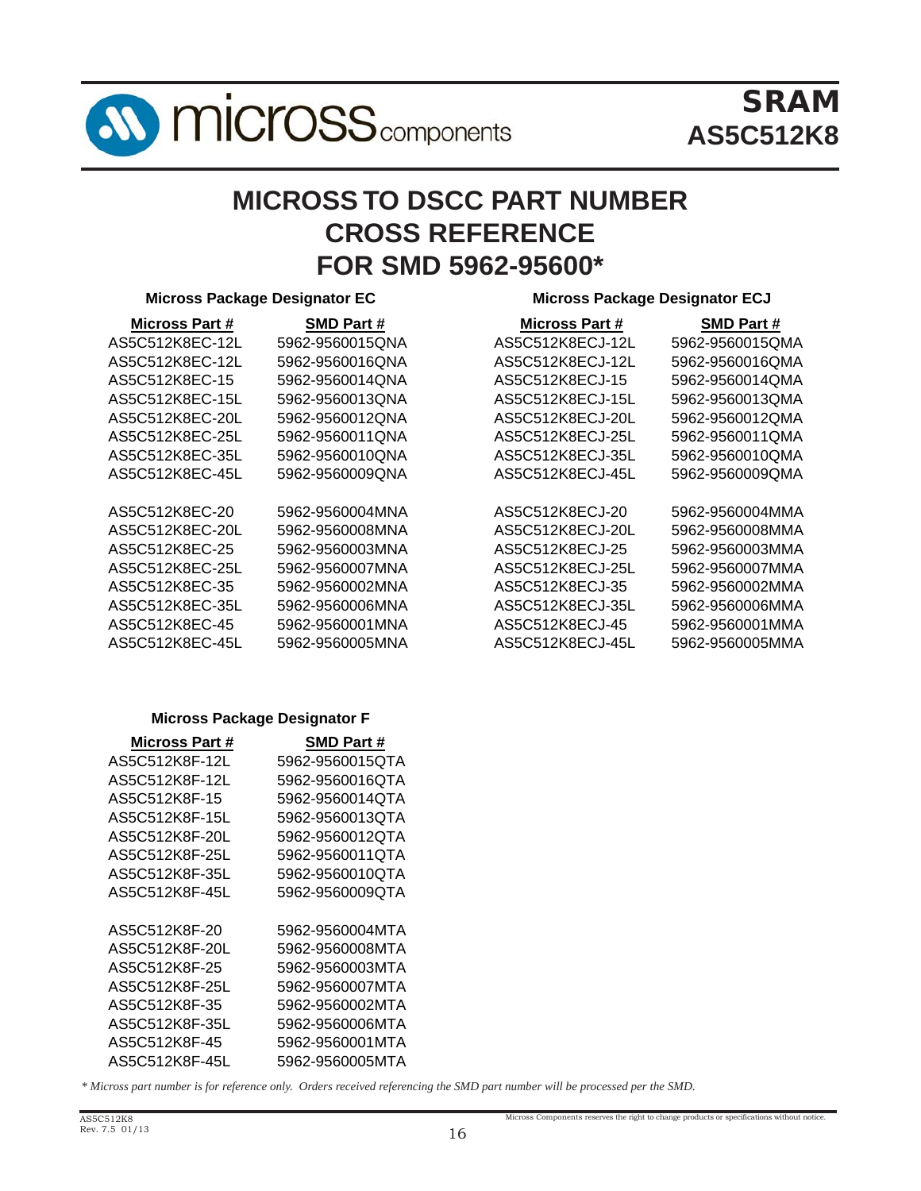

# SRAM **AS5C512K8**

# **MICROSS TO DSCC PART NUMBER CROSS REFERENCE FOR SMD 5962-95600\***

#### **Micross Package Designator EC Micross Package Designator ECJ**

#### **Micross Part # SMD Part # Micross Part # SMD Part #** AS5C512K8EC-12L 5962-9560015QNA AS5C512K8ECJ-12L 5962-9560015QMA AS5C512K8EC-12L 5962-9560016QNA AS5C512K8ECJ-12L 5962-9560016QMA AS5C512K8EC-15 5962-9560014QNA AS5C512K8ECJ-15 5962-9560014QMA AS5C512K8EC-15L 5962-9560013QNA AS5C512K8ECJ-15L 5962-9560013QMA AS5C512K8EC-20L 5962-9560012QNA AS5C512K8ECJ-20L 5962-9560012QMA AS5C512K8EC-25L 5962-9560011QNA AS5C512K8ECJ-25L 5962-9560011QMA AS5C512K8EC-35L 5962-9560010QNA AS5C512K8ECJ-35L 5962-9560010QMA AS5C512K8EC-45L 5962-9560009QNA AS5C512K8ECJ-45L 5962-9560009QMA AS5C512K8EC-20 5962-9560004MNA AS5C512K8ECJ-20 5962-9560004MMA AS5C512K8EC-20L 5962-9560008MNA AS5C512K8ECJ-20L 5962-9560008MMA AS5C512K8EC-25 5962-9560003MNA AS5C512K8ECJ-25 5962-9560003MMA AS5C512K8EC-25L 5962-9560007MNA AS5C512K8ECJ-25L 5962-9560007MMA AS5C512K8EC-35 5962-9560002MNA AS5C512K8ECJ-35 5962-9560002MMA AS5C512K8EC-35L 5962-9560006MNA AS5C512K8ECJ-35L 5962-9560006MMA AS5C512K8EC-45 5962-9560001MNA AS5C512K8ECJ-45 5962-9560001MMA AS5C512K8EC-45L 5962-9560005MNA AS5C512K8ECJ-45L 5962-9560005MMA

#### **Micross Package Designator F**

| Micross Part # | <b>SMD Part #</b> |
|----------------|-------------------|
| AS5C512K8F-12L | 5962-9560015QTA   |
| AS5C512K8F-12L | 5962-9560016QTA   |
| AS5C512K8F-15  | 5962-9560014QTA   |
| AS5C512K8F-15L | 5962-9560013QTA   |
| AS5C512K8F-20L | 5962-9560012QTA   |
| AS5C512K8F-25L | 5962-9560011QTA   |
| AS5C512K8F-35L | 5962-9560010QTA   |
| AS5C512K8F-45L | 5962-9560009QTA   |
|                |                   |
| AS5C512K8F-20  | 5962-9560004MTA   |
| AS5C512K8F-20L | 5962-9560008MTA   |
| AS5C512K8F-25  | 5962-9560003MTA   |
| AS5C512K8F-25L | 5962-9560007MTA   |
| AS5C512K8F-35  | 5962-9560002MTA   |
| AS5C512K8F-35L | 5962-9560006MTA   |
| AS5C512K8F-45  | 5962-9560001MTA   |
| AS5C512K8F-45L | 5962-9560005MTA   |

*\* Micross part number is for reference only. Orders received referencing the SMD part number will be processed per the SMD.*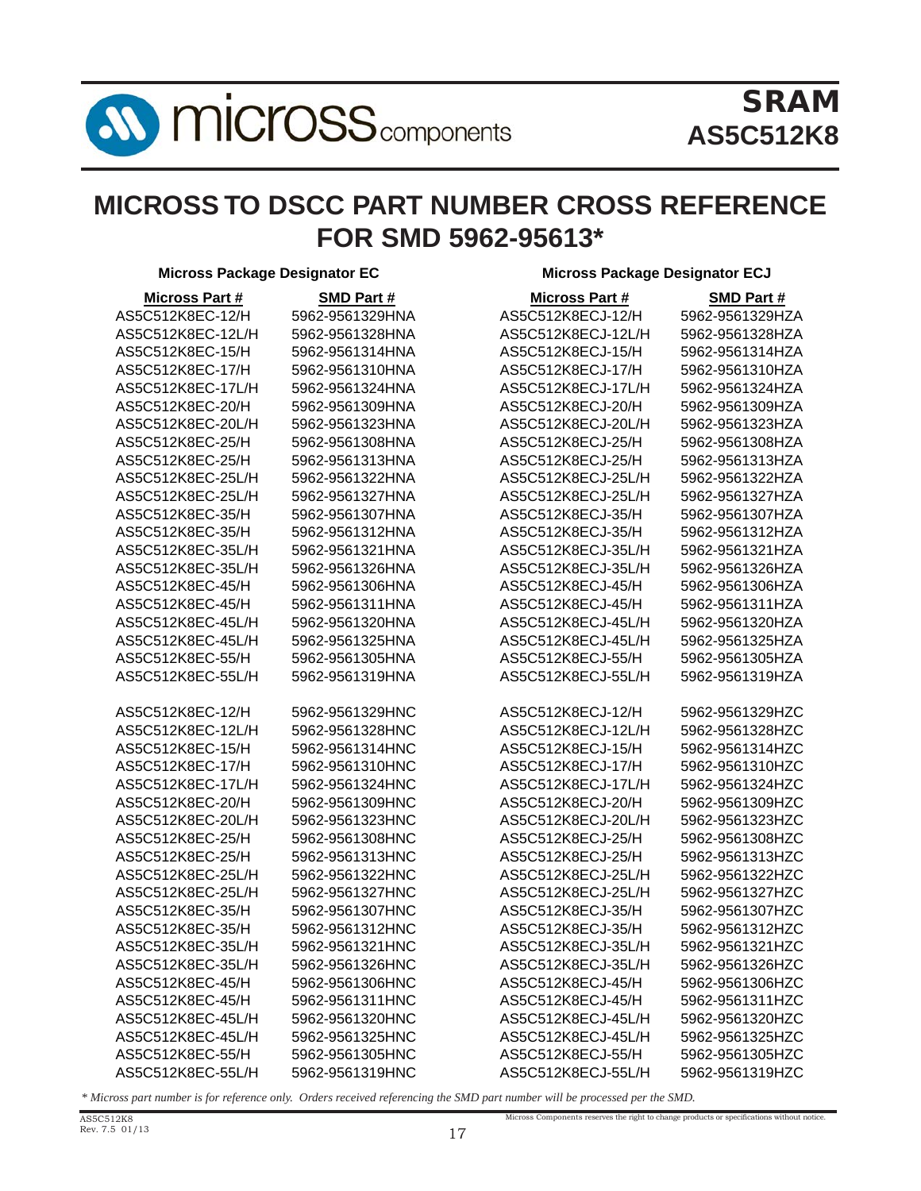

# **MICROSS TO DSCC PART NUMBER CROSS REFERENCE FOR SMD 5962-95613\***

**Micross Package Designator EC Micross Package Designator ECJ**

| <b>Micross Part #</b> | <b>SMD Part#</b> | <b>Micross Part #</b> | <b>SMD Part#</b> |
|-----------------------|------------------|-----------------------|------------------|
| AS5C512K8EC-12/H      | 5962-9561329HNA  | AS5C512K8ECJ-12/H     | 5962-9561329HZA  |
| AS5C512K8EC-12L/H     | 5962-9561328HNA  | AS5C512K8ECJ-12L/H    | 5962-9561328HZA  |
| AS5C512K8EC-15/H      | 5962-9561314HNA  | AS5C512K8ECJ-15/H     | 5962-9561314HZA  |
| AS5C512K8EC-17/H      | 5962-9561310HNA  | AS5C512K8ECJ-17/H     | 5962-9561310HZA  |
| AS5C512K8EC-17L/H     | 5962-9561324HNA  | AS5C512K8ECJ-17L/H    | 5962-9561324HZA  |
| AS5C512K8EC-20/H      | 5962-9561309HNA  | AS5C512K8ECJ-20/H     | 5962-9561309HZA  |
| AS5C512K8EC-20L/H     | 5962-9561323HNA  | AS5C512K8ECJ-20L/H    | 5962-9561323HZA  |
| AS5C512K8EC-25/H      | 5962-9561308HNA  | AS5C512K8ECJ-25/H     | 5962-9561308HZA  |
| AS5C512K8EC-25/H      | 5962-9561313HNA  | AS5C512K8ECJ-25/H     | 5962-9561313HZA  |
| AS5C512K8EC-25L/H     | 5962-9561322HNA  | AS5C512K8ECJ-25L/H    | 5962-9561322HZA  |
| AS5C512K8EC-25L/H     | 5962-9561327HNA  | AS5C512K8ECJ-25L/H    | 5962-9561327HZA  |
| AS5C512K8EC-35/H      | 5962-9561307HNA  | AS5C512K8ECJ-35/H     | 5962-9561307HZA  |
| AS5C512K8EC-35/H      | 5962-9561312HNA  | AS5C512K8ECJ-35/H     | 5962-9561312HZA  |
| AS5C512K8EC-35L/H     | 5962-9561321HNA  | AS5C512K8ECJ-35L/H    | 5962-9561321HZA  |
| AS5C512K8EC-35L/H     | 5962-9561326HNA  | AS5C512K8ECJ-35L/H    | 5962-9561326HZA  |
| AS5C512K8EC-45/H      | 5962-9561306HNA  | AS5C512K8ECJ-45/H     | 5962-9561306HZA  |
| AS5C512K8EC-45/H      | 5962-9561311HNA  | AS5C512K8ECJ-45/H     | 5962-9561311HZA  |
| AS5C512K8EC-45L/H     | 5962-9561320HNA  | AS5C512K8ECJ-45L/H    | 5962-9561320HZA  |
| AS5C512K8EC-45L/H     | 5962-9561325HNA  | AS5C512K8ECJ-45L/H    | 5962-9561325HZA  |
| AS5C512K8EC-55/H      | 5962-9561305HNA  | AS5C512K8ECJ-55/H     | 5962-9561305HZA  |
| AS5C512K8EC-55L/H     | 5962-9561319HNA  | AS5C512K8ECJ-55L/H    | 5962-9561319HZA  |
|                       |                  |                       |                  |
| AS5C512K8EC-12/H      | 5962-9561329HNC  | AS5C512K8ECJ-12/H     | 5962-9561329HZC  |
| AS5C512K8EC-12L/H     | 5962-9561328HNC  | AS5C512K8ECJ-12L/H    | 5962-9561328HZC  |
| AS5C512K8EC-15/H      | 5962-9561314HNC  | AS5C512K8ECJ-15/H     | 5962-9561314HZC  |
| AS5C512K8EC-17/H      | 5962-9561310HNC  | AS5C512K8ECJ-17/H     | 5962-9561310HZC  |
| AS5C512K8EC-17L/H     | 5962-9561324HNC  | AS5C512K8ECJ-17L/H    | 5962-9561324HZC  |
| AS5C512K8EC-20/H      | 5962-9561309HNC  | AS5C512K8ECJ-20/H     | 5962-9561309HZC  |
| AS5C512K8EC-20L/H     | 5962-9561323HNC  | AS5C512K8ECJ-20L/H    | 5962-9561323HZC  |
| AS5C512K8EC-25/H      | 5962-9561308HNC  | AS5C512K8ECJ-25/H     | 5962-9561308HZC  |
| AS5C512K8EC-25/H      | 5962-9561313HNC  | AS5C512K8ECJ-25/H     | 5962-9561313HZC  |
| AS5C512K8EC-25L/H     | 5962-9561322HNC  | AS5C512K8ECJ-25L/H    | 5962-9561322HZC  |
| AS5C512K8EC-25L/H     | 5962-9561327HNC  | AS5C512K8ECJ-25L/H    | 5962-9561327HZC  |
| AS5C512K8EC-35/H      | 5962-9561307HNC  | AS5C512K8ECJ-35/H     | 5962-9561307HZC  |
| AS5C512K8EC-35/H      | 5962-9561312HNC  | AS5C512K8ECJ-35/H     | 5962-9561312HZC  |
| AS5C512K8EC-35L/H     | 5962-9561321HNC  | AS5C512K8ECJ-35L/H    | 5962-9561321HZC  |
| AS5C512K8EC-35L/H     | 5962-9561326HNC  | AS5C512K8ECJ-35L/H    | 5962-9561326HZC  |
| AS5C512K8EC-45/H      | 5962-9561306HNC  | AS5C512K8ECJ-45/H     | 5962-9561306HZC  |
| AS5C512K8EC-45/H      | 5962-9561311HNC  | AS5C512K8ECJ-45/H     | 5962-9561311HZC  |
| AS5C512K8EC-45L/H     | 5962-9561320HNC  | AS5C512K8ECJ-45L/H    | 5962-9561320HZC  |
| AS5C512K8EC-45L/H     | 5962-9561325HNC  | AS5C512K8ECJ-45L/H    | 5962-9561325HZC  |
| AS5C512K8EC-55/H      | 5962-9561305HNC  | AS5C512K8ECJ-55/H     | 5962-9561305HZC  |
| AS5C512K8EC-55L/H     | 5962-9561319HNC  | AS5C512K8ECJ-55L/H    | 5962-9561319HZC  |

*\* Micross part number is for reference only. Orders received referencing the SMD part number will be processed per the SMD.*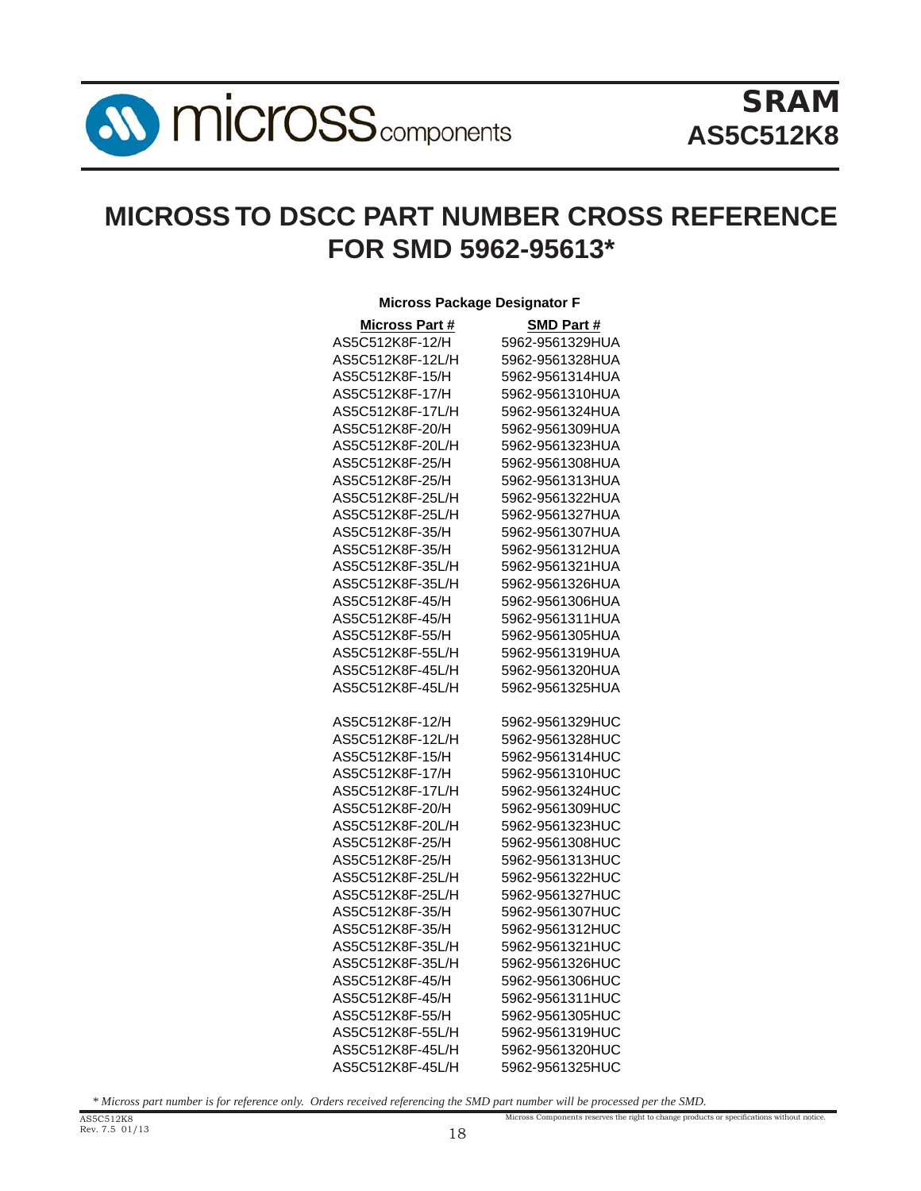**SV MICroSS** components

# **MICROSS TO DSCC PART NUMBER CROSS REFERENCE FOR SMD 5962-95613\***

| <b>Micross Package Designator F</b> |                                    |
|-------------------------------------|------------------------------------|
| <b>Micross Part #</b>               | <b>SMD Part#</b>                   |
| AS5C512K8F-12/H                     | 5962-9561329HUA                    |
| AS5C512K8F-12L/H                    | 5962-9561328HUA                    |
| AS5C512K8F-15/H                     | 5962-9561314HUA                    |
| AS5C512K8F-17/H                     | 5962-9561310HUA                    |
| AS5C512K8F-17L/H                    | 5962-9561324HUA                    |
| AS5C512K8F-20/H                     | 5962-9561309HUA                    |
| AS5C512K8F-20L/H                    | 5962-9561323HUA                    |
| AS5C512K8F-25/H                     | 5962-9561308HUA                    |
| AS5C512K8F-25/H                     | 5962-9561313HUA                    |
| AS5C512K8F-25L/H                    | 5962-9561322HUA                    |
| AS5C512K8F-25L/H                    | 5962-9561327HUA                    |
| AS5C512K8F-35/H                     | 5962-9561307HUA                    |
| AS5C512K8F-35/H                     | 5962-9561312HUA                    |
| AS5C512K8F-35L/H                    | 5962-9561321HUA                    |
| AS5C512K8F-35L/H                    | 5962-9561326HUA                    |
| AS5C512K8F-45/H                     | 5962-9561306HUA                    |
| AS5C512K8F-45/H                     | 5962-9561311HUA                    |
| AS5C512K8F-55/H                     | 5962-9561305HUA                    |
| AS5C512K8F-55L/H                    | 5962-9561319HUA                    |
| AS5C512K8F-45L/H                    | 5962-9561320HUA                    |
| AS5C512K8F-45L/H                    | 5962-9561325HUA                    |
|                                     |                                    |
| AS5C512K8F-12/H                     | 5962-9561329HUC                    |
| AS5C512K8F-12L/H                    | 5962-9561328HUC                    |
| AS5C512K8F-15/H                     | 5962-9561314HUC                    |
| AS5C512K8F-17/H                     | 5962-9561310HUC                    |
| AS5C512K8F-17L/H                    | 5962-9561324HUC                    |
| AS5C512K8F-20/H                     | 5962-9561309HUC                    |
| AS5C512K8F-20L/H                    | 5962-9561323HUC                    |
| AS5C512K8F-25/H                     | 5962-9561308HUC                    |
| AS5C512K8F-25/H                     | 5962-9561313HUC                    |
| AS5C512K8F-25L/H                    | 5962-9561322HUC                    |
| AS5C512K8F-25L/H                    | 5962-9561327HUC                    |
| AS5C512K8F-35/H                     | 5962-9561307HUC                    |
| AS5C512K8F-35/H                     | 5962-9561312HUC                    |
| AS5C512K8F-35L/H                    | 5962-9561321HUC                    |
|                                     |                                    |
| AS5C512K8F-35L/H<br>AS5C512K8F-45/H | 5962-9561326HUC<br>5962-9561306HUC |
| AS5C512K8F-45/H                     | 5962-9561311HUC                    |
|                                     |                                    |
| AS5C512K8F-55/H                     | 5962-9561305HUC                    |
| AS5C512K8F-55L/H                    | 5962-9561319HUC                    |
| AS5C512K8F-45L/H                    | 5962-9561320HUC                    |
| AS5C512K8F-45L/H                    | 5962-9561325HUC                    |

Micross Components reserves the right to change products or specifications without notice. *\* Micross part number is for reference only. Orders received referencing the SMD part number will be processed per the SMD.*